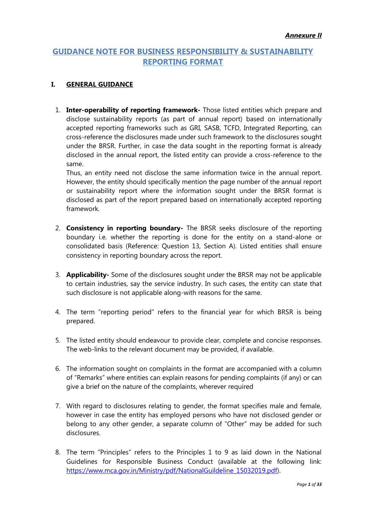# **GUIDANCE NOTE FOR BUSINESS RESPONSIBILITY & SUSTAINABILITY REPORTING FORMAT**

#### **I. GENERAL GUIDANCE**

1. **Inter-operability of reporting framework-** Those listed entities which prepare and disclose sustainability reports (as part of annual report) based on internationally accepted reporting frameworks such as GRI, SASB, TCFD, Integrated Reporting, can cross-reference the disclosures made under such framework to the disclosures sought under the BRSR. Further, in case the data sought in the reporting format is already disclosed in the annual report, the listed entity can provide a cross-reference to the same.

Thus, an entity need not disclose the same information twice in the annual report. However, the entity should specifically mention the page number of the annual report or sustainability report where the information sought under the BRSR format is disclosed as part of the report prepared based on internationally accepted reporting framework.

- 2. **Consistency in reporting boundary-** The BRSR seeks disclosure of the reporting boundary i.e. whether the reporting is done for the entity on a stand-alone or consolidated basis (Reference: Question 13, Section A). Listed entities shall ensure consistency in reporting boundary across the report.
- 3. **Applicability-** Some of the disclosures sought under the BRSR may not be applicable to certain industries, say the service industry. In such cases, the entity can state that such disclosure is not applicable along-with reasons for the same.
- 4. The term "reporting period" refers to the financial year for which BRSR is being prepared.
- 5. The listed entity should endeavour to provide clear, complete and concise responses. The web-links to the relevant document may be provided, if available.
- 6. The information sought on complaints in the format are accompanied with a column of "Remarks" where entities can explain reasons for pending complaints (if any) or can give a brief on the nature of the complaints, wherever required
- 7. With regard to disclosures relating to gender, the format specifies male and female, however in case the entity has employed persons who have not disclosed gender or belong to any other gender, a separate column of "Other" may be added for such disclosures.
- 8. The term "Principles" refers to the Principles 1 to 9 as laid down in the National Guidelines for Responsible Business Conduct (available at the following link: [https://www.mca.gov.in/Ministry/pdf/NationalGuildeline\\_15032019.pdf\)](https://www.mca.gov.in/Ministry/pdf/NationalGuildeline_15032019.pdf).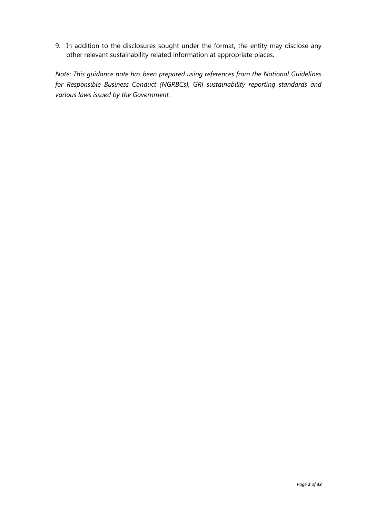9. In addition to the disclosures sought under the format, the entity may disclose any other relevant sustainability related information at appropriate places.

*Note: This guidance note has been prepared using references from the National Guidelines for Responsible Business Conduct (NGRBCs), GRI sustainability reporting standards and various laws issued by the Government.*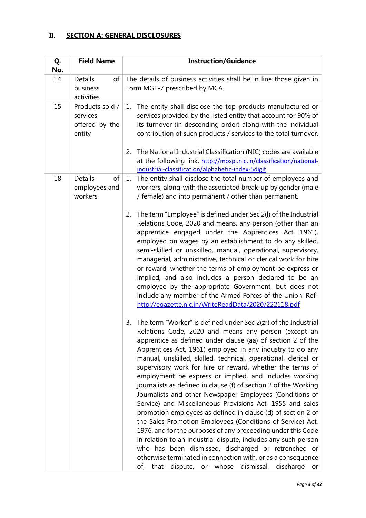#### **II. SECTION A: GENERAL DISCLOSURES**

| Q.<br>No. | <b>Field Name</b>                                       | <b>Instruction/Guidance</b>                                                                                                                                                                                                                                                                                                                                                                                                                                                                                                                                                                                                                                                                                                                                                                                                                                                                                                                                                                                                                                                                        |  |  |
|-----------|---------------------------------------------------------|----------------------------------------------------------------------------------------------------------------------------------------------------------------------------------------------------------------------------------------------------------------------------------------------------------------------------------------------------------------------------------------------------------------------------------------------------------------------------------------------------------------------------------------------------------------------------------------------------------------------------------------------------------------------------------------------------------------------------------------------------------------------------------------------------------------------------------------------------------------------------------------------------------------------------------------------------------------------------------------------------------------------------------------------------------------------------------------------------|--|--|
| 14        | Details<br>of<br>business<br>activities                 | The details of business activities shall be in line those given in<br>Form MGT-7 prescribed by MCA.                                                                                                                                                                                                                                                                                                                                                                                                                                                                                                                                                                                                                                                                                                                                                                                                                                                                                                                                                                                                |  |  |
| 15        | Products sold /<br>services<br>offered by the<br>entity | The entity shall disclose the top products manufactured or<br>1.<br>services provided by the listed entity that account for 90% of<br>its turnover (in descending order) along-with the individual<br>contribution of such products / services to the total turnover.                                                                                                                                                                                                                                                                                                                                                                                                                                                                                                                                                                                                                                                                                                                                                                                                                              |  |  |
|           |                                                         | 2. The National Industrial Classification (NIC) codes are available<br>at the following link: http://mospi.nic.in/classification/national-<br>industrial-classification/alphabetic-index-5digit.                                                                                                                                                                                                                                                                                                                                                                                                                                                                                                                                                                                                                                                                                                                                                                                                                                                                                                   |  |  |
| 18        | <b>Details</b><br>of<br>employees and<br>workers        | The entity shall disclose the total number of employees and<br>1.<br>workers, along-with the associated break-up by gender (male<br>/ female) and into permanent / other than permanent.                                                                                                                                                                                                                                                                                                                                                                                                                                                                                                                                                                                                                                                                                                                                                                                                                                                                                                           |  |  |
|           |                                                         | The term "Employee" is defined under Sec 2(I) of the Industrial<br>2.<br>Relations Code, 2020 and means, any person (other than an<br>apprentice engaged under the Apprentices Act, 1961),<br>employed on wages by an establishment to do any skilled,<br>semi-skilled or unskilled, manual, operational, supervisory,<br>managerial, administrative, technical or clerical work for hire<br>or reward, whether the terms of employment be express or<br>implied, and also includes a person declared to be an<br>employee by the appropriate Government, but does not<br>include any member of the Armed Forces of the Union. Ref-<br>http://eqazette.nic.in/WriteReadData/2020/222118.pdf                                                                                                                                                                                                                                                                                                                                                                                                        |  |  |
|           |                                                         | The term "Worker" is defined under Sec 2(zr) of the Industrial<br>3.<br>Relations Code, 2020 and means any person (except an<br>apprentice as defined under clause (aa) of section 2 of the<br>Apprentices Act, 1961) employed in any industry to do any<br>manual, unskilled, skilled, technical, operational, clerical or<br>supervisory work for hire or reward, whether the terms of<br>employment be express or implied, and includes working<br>journalists as defined in clause (f) of section 2 of the Working<br>Journalists and other Newspaper Employees (Conditions of<br>Service) and Miscellaneous Provisions Act, 1955 and sales<br>promotion employees as defined in clause (d) of section 2 of<br>the Sales Promotion Employees (Conditions of Service) Act,<br>1976, and for the purposes of any proceeding under this Code<br>in relation to an industrial dispute, includes any such person<br>who has been dismissed, discharged or retrenched or<br>otherwise terminated in connection with, or as a consequence<br>dispute, or whose dismissal, discharge<br>of, that<br>or |  |  |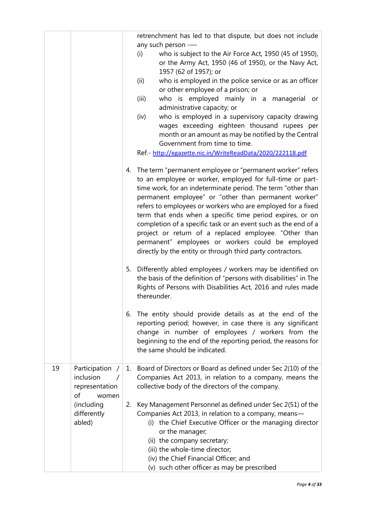| any such person --<br>who is subject to the Air Force Act, 1950 (45 of 1950),<br>(i)<br>or the Army Act, 1950 (46 of 1950), or the Navy Act,<br>1957 (62 of 1957); or<br>who is employed in the police service or as an officer<br>(ii)<br>or other employee of a prison; or<br>who is employed mainly in a managerial or<br>(iii)<br>administrative capacity; or<br>who is employed in a supervisory capacity drawing<br>(iv)<br>wages exceeding eighteen thousand rupees per<br>month or an amount as may be notified by the Central<br>Government from time to time.<br>Ref.- http://egazette.nic.in/WriteReadData/2020/222118.pdf<br>4. The term "permanent employee or "permanent worker" refers<br>to an employee or worker, employed for full-time or part-<br>time work, for an indeterminate period. The term "other than<br>permanent employee" or "other than permanent worker"<br>refers to employees or workers who are employed for a fixed<br>term that ends when a specific time period expires, or on<br>completion of a specific task or an event such as the end of a<br>project or return of a replaced employee. "Other than<br>permanent" employees or workers could be employed<br>directly by the entity or through third party contractors.<br>5. Differently abled employees / workers may be identified on<br>the basis of the definition of "persons with disabilities" in The<br>Rights of Persons with Disabilities Act, 2016 and rules made<br>thereunder.<br>6. The entity should provide details as at the end of the<br>reporting period; however, in case there is any significant<br>change in number of employees / workers from the<br>beginning to the end of the reporting period, the reasons for<br>the same should be indicated.<br>19<br>Participation /<br>1. Board of Directors or Board as defined under Sec 2(10) of the<br>inclusion<br>Companies Act 2013, in relation to a company, means the<br>collective body of the directors of the company.<br>representation<br>of<br>women<br>(including<br>Key Management Personnel as defined under Sec 2(51) of the<br>2.<br>Companies Act 2013, in relation to a company, means-<br>differently<br>abled)<br>(i) the Chief Executive Officer or the managing director<br>or the manager;<br>(ii) the company secretary;<br>(iii) the whole-time director; |  | retrenchment has led to that dispute, but does not include |  |
|----------------------------------------------------------------------------------------------------------------------------------------------------------------------------------------------------------------------------------------------------------------------------------------------------------------------------------------------------------------------------------------------------------------------------------------------------------------------------------------------------------------------------------------------------------------------------------------------------------------------------------------------------------------------------------------------------------------------------------------------------------------------------------------------------------------------------------------------------------------------------------------------------------------------------------------------------------------------------------------------------------------------------------------------------------------------------------------------------------------------------------------------------------------------------------------------------------------------------------------------------------------------------------------------------------------------------------------------------------------------------------------------------------------------------------------------------------------------------------------------------------------------------------------------------------------------------------------------------------------------------------------------------------------------------------------------------------------------------------------------------------------------------------------------------------------------------------------------------------------------------------------------------------------------------------------------------------------------------------------------------------------------------------------------------------------------------------------------------------------------------------------------------------------------------------------------------------------------------------------------------------------------------------------------------------------------------------------------------------|--|------------------------------------------------------------|--|
|                                                                                                                                                                                                                                                                                                                                                                                                                                                                                                                                                                                                                                                                                                                                                                                                                                                                                                                                                                                                                                                                                                                                                                                                                                                                                                                                                                                                                                                                                                                                                                                                                                                                                                                                                                                                                                                                                                                                                                                                                                                                                                                                                                                                                                                                                                                                                          |  |                                                            |  |
|                                                                                                                                                                                                                                                                                                                                                                                                                                                                                                                                                                                                                                                                                                                                                                                                                                                                                                                                                                                                                                                                                                                                                                                                                                                                                                                                                                                                                                                                                                                                                                                                                                                                                                                                                                                                                                                                                                                                                                                                                                                                                                                                                                                                                                                                                                                                                          |  |                                                            |  |
|                                                                                                                                                                                                                                                                                                                                                                                                                                                                                                                                                                                                                                                                                                                                                                                                                                                                                                                                                                                                                                                                                                                                                                                                                                                                                                                                                                                                                                                                                                                                                                                                                                                                                                                                                                                                                                                                                                                                                                                                                                                                                                                                                                                                                                                                                                                                                          |  |                                                            |  |
|                                                                                                                                                                                                                                                                                                                                                                                                                                                                                                                                                                                                                                                                                                                                                                                                                                                                                                                                                                                                                                                                                                                                                                                                                                                                                                                                                                                                                                                                                                                                                                                                                                                                                                                                                                                                                                                                                                                                                                                                                                                                                                                                                                                                                                                                                                                                                          |  |                                                            |  |
|                                                                                                                                                                                                                                                                                                                                                                                                                                                                                                                                                                                                                                                                                                                                                                                                                                                                                                                                                                                                                                                                                                                                                                                                                                                                                                                                                                                                                                                                                                                                                                                                                                                                                                                                                                                                                                                                                                                                                                                                                                                                                                                                                                                                                                                                                                                                                          |  |                                                            |  |
|                                                                                                                                                                                                                                                                                                                                                                                                                                                                                                                                                                                                                                                                                                                                                                                                                                                                                                                                                                                                                                                                                                                                                                                                                                                                                                                                                                                                                                                                                                                                                                                                                                                                                                                                                                                                                                                                                                                                                                                                                                                                                                                                                                                                                                                                                                                                                          |  |                                                            |  |
|                                                                                                                                                                                                                                                                                                                                                                                                                                                                                                                                                                                                                                                                                                                                                                                                                                                                                                                                                                                                                                                                                                                                                                                                                                                                                                                                                                                                                                                                                                                                                                                                                                                                                                                                                                                                                                                                                                                                                                                                                                                                                                                                                                                                                                                                                                                                                          |  |                                                            |  |
|                                                                                                                                                                                                                                                                                                                                                                                                                                                                                                                                                                                                                                                                                                                                                                                                                                                                                                                                                                                                                                                                                                                                                                                                                                                                                                                                                                                                                                                                                                                                                                                                                                                                                                                                                                                                                                                                                                                                                                                                                                                                                                                                                                                                                                                                                                                                                          |  |                                                            |  |
|                                                                                                                                                                                                                                                                                                                                                                                                                                                                                                                                                                                                                                                                                                                                                                                                                                                                                                                                                                                                                                                                                                                                                                                                                                                                                                                                                                                                                                                                                                                                                                                                                                                                                                                                                                                                                                                                                                                                                                                                                                                                                                                                                                                                                                                                                                                                                          |  |                                                            |  |
|                                                                                                                                                                                                                                                                                                                                                                                                                                                                                                                                                                                                                                                                                                                                                                                                                                                                                                                                                                                                                                                                                                                                                                                                                                                                                                                                                                                                                                                                                                                                                                                                                                                                                                                                                                                                                                                                                                                                                                                                                                                                                                                                                                                                                                                                                                                                                          |  |                                                            |  |
|                                                                                                                                                                                                                                                                                                                                                                                                                                                                                                                                                                                                                                                                                                                                                                                                                                                                                                                                                                                                                                                                                                                                                                                                                                                                                                                                                                                                                                                                                                                                                                                                                                                                                                                                                                                                                                                                                                                                                                                                                                                                                                                                                                                                                                                                                                                                                          |  |                                                            |  |
|                                                                                                                                                                                                                                                                                                                                                                                                                                                                                                                                                                                                                                                                                                                                                                                                                                                                                                                                                                                                                                                                                                                                                                                                                                                                                                                                                                                                                                                                                                                                                                                                                                                                                                                                                                                                                                                                                                                                                                                                                                                                                                                                                                                                                                                                                                                                                          |  |                                                            |  |
|                                                                                                                                                                                                                                                                                                                                                                                                                                                                                                                                                                                                                                                                                                                                                                                                                                                                                                                                                                                                                                                                                                                                                                                                                                                                                                                                                                                                                                                                                                                                                                                                                                                                                                                                                                                                                                                                                                                                                                                                                                                                                                                                                                                                                                                                                                                                                          |  |                                                            |  |
|                                                                                                                                                                                                                                                                                                                                                                                                                                                                                                                                                                                                                                                                                                                                                                                                                                                                                                                                                                                                                                                                                                                                                                                                                                                                                                                                                                                                                                                                                                                                                                                                                                                                                                                                                                                                                                                                                                                                                                                                                                                                                                                                                                                                                                                                                                                                                          |  |                                                            |  |
|                                                                                                                                                                                                                                                                                                                                                                                                                                                                                                                                                                                                                                                                                                                                                                                                                                                                                                                                                                                                                                                                                                                                                                                                                                                                                                                                                                                                                                                                                                                                                                                                                                                                                                                                                                                                                                                                                                                                                                                                                                                                                                                                                                                                                                                                                                                                                          |  |                                                            |  |
|                                                                                                                                                                                                                                                                                                                                                                                                                                                                                                                                                                                                                                                                                                                                                                                                                                                                                                                                                                                                                                                                                                                                                                                                                                                                                                                                                                                                                                                                                                                                                                                                                                                                                                                                                                                                                                                                                                                                                                                                                                                                                                                                                                                                                                                                                                                                                          |  |                                                            |  |
|                                                                                                                                                                                                                                                                                                                                                                                                                                                                                                                                                                                                                                                                                                                                                                                                                                                                                                                                                                                                                                                                                                                                                                                                                                                                                                                                                                                                                                                                                                                                                                                                                                                                                                                                                                                                                                                                                                                                                                                                                                                                                                                                                                                                                                                                                                                                                          |  |                                                            |  |
|                                                                                                                                                                                                                                                                                                                                                                                                                                                                                                                                                                                                                                                                                                                                                                                                                                                                                                                                                                                                                                                                                                                                                                                                                                                                                                                                                                                                                                                                                                                                                                                                                                                                                                                                                                                                                                                                                                                                                                                                                                                                                                                                                                                                                                                                                                                                                          |  |                                                            |  |
|                                                                                                                                                                                                                                                                                                                                                                                                                                                                                                                                                                                                                                                                                                                                                                                                                                                                                                                                                                                                                                                                                                                                                                                                                                                                                                                                                                                                                                                                                                                                                                                                                                                                                                                                                                                                                                                                                                                                                                                                                                                                                                                                                                                                                                                                                                                                                          |  |                                                            |  |
|                                                                                                                                                                                                                                                                                                                                                                                                                                                                                                                                                                                                                                                                                                                                                                                                                                                                                                                                                                                                                                                                                                                                                                                                                                                                                                                                                                                                                                                                                                                                                                                                                                                                                                                                                                                                                                                                                                                                                                                                                                                                                                                                                                                                                                                                                                                                                          |  |                                                            |  |
|                                                                                                                                                                                                                                                                                                                                                                                                                                                                                                                                                                                                                                                                                                                                                                                                                                                                                                                                                                                                                                                                                                                                                                                                                                                                                                                                                                                                                                                                                                                                                                                                                                                                                                                                                                                                                                                                                                                                                                                                                                                                                                                                                                                                                                                                                                                                                          |  |                                                            |  |
|                                                                                                                                                                                                                                                                                                                                                                                                                                                                                                                                                                                                                                                                                                                                                                                                                                                                                                                                                                                                                                                                                                                                                                                                                                                                                                                                                                                                                                                                                                                                                                                                                                                                                                                                                                                                                                                                                                                                                                                                                                                                                                                                                                                                                                                                                                                                                          |  |                                                            |  |
|                                                                                                                                                                                                                                                                                                                                                                                                                                                                                                                                                                                                                                                                                                                                                                                                                                                                                                                                                                                                                                                                                                                                                                                                                                                                                                                                                                                                                                                                                                                                                                                                                                                                                                                                                                                                                                                                                                                                                                                                                                                                                                                                                                                                                                                                                                                                                          |  |                                                            |  |
|                                                                                                                                                                                                                                                                                                                                                                                                                                                                                                                                                                                                                                                                                                                                                                                                                                                                                                                                                                                                                                                                                                                                                                                                                                                                                                                                                                                                                                                                                                                                                                                                                                                                                                                                                                                                                                                                                                                                                                                                                                                                                                                                                                                                                                                                                                                                                          |  |                                                            |  |
|                                                                                                                                                                                                                                                                                                                                                                                                                                                                                                                                                                                                                                                                                                                                                                                                                                                                                                                                                                                                                                                                                                                                                                                                                                                                                                                                                                                                                                                                                                                                                                                                                                                                                                                                                                                                                                                                                                                                                                                                                                                                                                                                                                                                                                                                                                                                                          |  |                                                            |  |
|                                                                                                                                                                                                                                                                                                                                                                                                                                                                                                                                                                                                                                                                                                                                                                                                                                                                                                                                                                                                                                                                                                                                                                                                                                                                                                                                                                                                                                                                                                                                                                                                                                                                                                                                                                                                                                                                                                                                                                                                                                                                                                                                                                                                                                                                                                                                                          |  |                                                            |  |
|                                                                                                                                                                                                                                                                                                                                                                                                                                                                                                                                                                                                                                                                                                                                                                                                                                                                                                                                                                                                                                                                                                                                                                                                                                                                                                                                                                                                                                                                                                                                                                                                                                                                                                                                                                                                                                                                                                                                                                                                                                                                                                                                                                                                                                                                                                                                                          |  |                                                            |  |
|                                                                                                                                                                                                                                                                                                                                                                                                                                                                                                                                                                                                                                                                                                                                                                                                                                                                                                                                                                                                                                                                                                                                                                                                                                                                                                                                                                                                                                                                                                                                                                                                                                                                                                                                                                                                                                                                                                                                                                                                                                                                                                                                                                                                                                                                                                                                                          |  |                                                            |  |
|                                                                                                                                                                                                                                                                                                                                                                                                                                                                                                                                                                                                                                                                                                                                                                                                                                                                                                                                                                                                                                                                                                                                                                                                                                                                                                                                                                                                                                                                                                                                                                                                                                                                                                                                                                                                                                                                                                                                                                                                                                                                                                                                                                                                                                                                                                                                                          |  |                                                            |  |
|                                                                                                                                                                                                                                                                                                                                                                                                                                                                                                                                                                                                                                                                                                                                                                                                                                                                                                                                                                                                                                                                                                                                                                                                                                                                                                                                                                                                                                                                                                                                                                                                                                                                                                                                                                                                                                                                                                                                                                                                                                                                                                                                                                                                                                                                                                                                                          |  |                                                            |  |
|                                                                                                                                                                                                                                                                                                                                                                                                                                                                                                                                                                                                                                                                                                                                                                                                                                                                                                                                                                                                                                                                                                                                                                                                                                                                                                                                                                                                                                                                                                                                                                                                                                                                                                                                                                                                                                                                                                                                                                                                                                                                                                                                                                                                                                                                                                                                                          |  |                                                            |  |
|                                                                                                                                                                                                                                                                                                                                                                                                                                                                                                                                                                                                                                                                                                                                                                                                                                                                                                                                                                                                                                                                                                                                                                                                                                                                                                                                                                                                                                                                                                                                                                                                                                                                                                                                                                                                                                                                                                                                                                                                                                                                                                                                                                                                                                                                                                                                                          |  |                                                            |  |
|                                                                                                                                                                                                                                                                                                                                                                                                                                                                                                                                                                                                                                                                                                                                                                                                                                                                                                                                                                                                                                                                                                                                                                                                                                                                                                                                                                                                                                                                                                                                                                                                                                                                                                                                                                                                                                                                                                                                                                                                                                                                                                                                                                                                                                                                                                                                                          |  |                                                            |  |
|                                                                                                                                                                                                                                                                                                                                                                                                                                                                                                                                                                                                                                                                                                                                                                                                                                                                                                                                                                                                                                                                                                                                                                                                                                                                                                                                                                                                                                                                                                                                                                                                                                                                                                                                                                                                                                                                                                                                                                                                                                                                                                                                                                                                                                                                                                                                                          |  |                                                            |  |
|                                                                                                                                                                                                                                                                                                                                                                                                                                                                                                                                                                                                                                                                                                                                                                                                                                                                                                                                                                                                                                                                                                                                                                                                                                                                                                                                                                                                                                                                                                                                                                                                                                                                                                                                                                                                                                                                                                                                                                                                                                                                                                                                                                                                                                                                                                                                                          |  |                                                            |  |
|                                                                                                                                                                                                                                                                                                                                                                                                                                                                                                                                                                                                                                                                                                                                                                                                                                                                                                                                                                                                                                                                                                                                                                                                                                                                                                                                                                                                                                                                                                                                                                                                                                                                                                                                                                                                                                                                                                                                                                                                                                                                                                                                                                                                                                                                                                                                                          |  |                                                            |  |
|                                                                                                                                                                                                                                                                                                                                                                                                                                                                                                                                                                                                                                                                                                                                                                                                                                                                                                                                                                                                                                                                                                                                                                                                                                                                                                                                                                                                                                                                                                                                                                                                                                                                                                                                                                                                                                                                                                                                                                                                                                                                                                                                                                                                                                                                                                                                                          |  |                                                            |  |
|                                                                                                                                                                                                                                                                                                                                                                                                                                                                                                                                                                                                                                                                                                                                                                                                                                                                                                                                                                                                                                                                                                                                                                                                                                                                                                                                                                                                                                                                                                                                                                                                                                                                                                                                                                                                                                                                                                                                                                                                                                                                                                                                                                                                                                                                                                                                                          |  |                                                            |  |
|                                                                                                                                                                                                                                                                                                                                                                                                                                                                                                                                                                                                                                                                                                                                                                                                                                                                                                                                                                                                                                                                                                                                                                                                                                                                                                                                                                                                                                                                                                                                                                                                                                                                                                                                                                                                                                                                                                                                                                                                                                                                                                                                                                                                                                                                                                                                                          |  |                                                            |  |
|                                                                                                                                                                                                                                                                                                                                                                                                                                                                                                                                                                                                                                                                                                                                                                                                                                                                                                                                                                                                                                                                                                                                                                                                                                                                                                                                                                                                                                                                                                                                                                                                                                                                                                                                                                                                                                                                                                                                                                                                                                                                                                                                                                                                                                                                                                                                                          |  |                                                            |  |
|                                                                                                                                                                                                                                                                                                                                                                                                                                                                                                                                                                                                                                                                                                                                                                                                                                                                                                                                                                                                                                                                                                                                                                                                                                                                                                                                                                                                                                                                                                                                                                                                                                                                                                                                                                                                                                                                                                                                                                                                                                                                                                                                                                                                                                                                                                                                                          |  |                                                            |  |
|                                                                                                                                                                                                                                                                                                                                                                                                                                                                                                                                                                                                                                                                                                                                                                                                                                                                                                                                                                                                                                                                                                                                                                                                                                                                                                                                                                                                                                                                                                                                                                                                                                                                                                                                                                                                                                                                                                                                                                                                                                                                                                                                                                                                                                                                                                                                                          |  |                                                            |  |
|                                                                                                                                                                                                                                                                                                                                                                                                                                                                                                                                                                                                                                                                                                                                                                                                                                                                                                                                                                                                                                                                                                                                                                                                                                                                                                                                                                                                                                                                                                                                                                                                                                                                                                                                                                                                                                                                                                                                                                                                                                                                                                                                                                                                                                                                                                                                                          |  |                                                            |  |
|                                                                                                                                                                                                                                                                                                                                                                                                                                                                                                                                                                                                                                                                                                                                                                                                                                                                                                                                                                                                                                                                                                                                                                                                                                                                                                                                                                                                                                                                                                                                                                                                                                                                                                                                                                                                                                                                                                                                                                                                                                                                                                                                                                                                                                                                                                                                                          |  |                                                            |  |
| (iv) the Chief Financial Officer; and                                                                                                                                                                                                                                                                                                                                                                                                                                                                                                                                                                                                                                                                                                                                                                                                                                                                                                                                                                                                                                                                                                                                                                                                                                                                                                                                                                                                                                                                                                                                                                                                                                                                                                                                                                                                                                                                                                                                                                                                                                                                                                                                                                                                                                                                                                                    |  |                                                            |  |
| (v) such other officer as may be prescribed                                                                                                                                                                                                                                                                                                                                                                                                                                                                                                                                                                                                                                                                                                                                                                                                                                                                                                                                                                                                                                                                                                                                                                                                                                                                                                                                                                                                                                                                                                                                                                                                                                                                                                                                                                                                                                                                                                                                                                                                                                                                                                                                                                                                                                                                                                              |  |                                                            |  |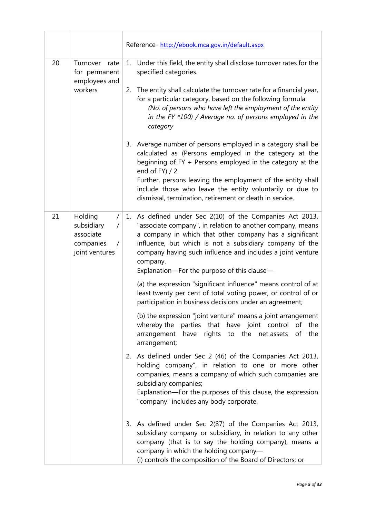|         |                                                                                             | Reference- http://ebook.mca.gov.in/default.aspx |                                                                                                                                                                                                                                                                                                                                                                       |
|---------|---------------------------------------------------------------------------------------------|-------------------------------------------------|-----------------------------------------------------------------------------------------------------------------------------------------------------------------------------------------------------------------------------------------------------------------------------------------------------------------------------------------------------------------------|
| 20      | Turnover rate<br>for permanent<br>employees and                                             |                                                 | 1. Under this field, the entity shall disclose turnover rates for the<br>specified categories.                                                                                                                                                                                                                                                                        |
| workers |                                                                                             | 2.                                              | The entity shall calculate the turnover rate for a financial year,<br>for a particular category, based on the following formula:<br>(No. of persons who have left the employment of the entity<br>in the FY $*100$ ) / Average no. of persons employed in the<br>category                                                                                             |
|         |                                                                                             |                                                 | 3. Average number of persons employed in a category shall be<br>calculated as (Persons employed in the category at the<br>beginning of FY + Persons employed in the category at the<br>end of FY) / 2.<br>Further, persons leaving the employment of the entity shall<br>include those who leave the entity voluntarily or due to                                     |
|         |                                                                                             |                                                 | dismissal, termination, retirement or death in service.                                                                                                                                                                                                                                                                                                               |
| 21      | Holding<br>subsidiary<br>$\sqrt{2}$<br>associate<br>companies<br>$\prime$<br>joint ventures |                                                 | 1. As defined under Sec 2(10) of the Companies Act 2013,<br>"associate company", in relation to another company, means<br>a company in which that other company has a significant<br>influence, but which is not a subsidiary company of the<br>company having such influence and includes a joint venture<br>company.<br>Explanation-For the purpose of this clause- |
|         |                                                                                             |                                                 | (a) the expression "significant influence" means control of at<br>least twenty per cent of total voting power, or control of or<br>participation in business decisions under an agreement;                                                                                                                                                                            |
|         |                                                                                             |                                                 | (b) the expression "joint venture" means a joint arrangement<br>whereby the parties that have joint control<br>of<br>the<br>arrangement have rights to the net-assets<br>the<br>of<br>arrangement;                                                                                                                                                                    |
|         |                                                                                             |                                                 | 2. As defined under Sec 2 (46) of the Companies Act 2013,<br>holding company", in relation to one or more other<br>companies, means a company of which such companies are<br>subsidiary companies;<br>Explanation-For the purposes of this clause, the expression<br>"company" includes any body corporate.                                                           |
|         |                                                                                             |                                                 | 3. As defined under Sec 2(87) of the Companies Act 2013,<br>subsidiary company or subsidiary, in relation to any other<br>company (that is to say the holding company), means a<br>company in which the holding company-<br>(i) controls the composition of the Board of Directors; or                                                                                |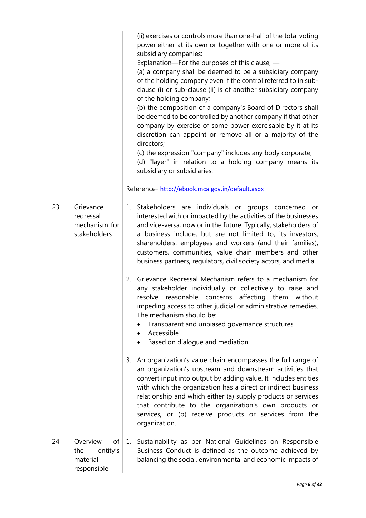|    |                                                              | (ii) exercises or controls more than one-half of the total voting<br>power either at its own or together with one or more of its<br>subsidiary companies:<br>Explanation-For the purposes of this clause, -<br>(a) a company shall be deemed to be a subsidiary company<br>of the holding company even if the control referred to in sub-<br>clause (i) or sub-clause (ii) is of another subsidiary company<br>of the holding company;<br>(b) the composition of a company's Board of Directors shall<br>be deemed to be controlled by another company if that other<br>company by exercise of some power exercisable by it at its<br>discretion can appoint or remove all or a majority of the<br>directors;<br>(c) the expression "company" includes any body corporate;<br>(d) "layer" in relation to a holding company means its<br>subsidiary or subsidiaries.<br>Reference- http://ebook.mca.gov.in/default.aspx                                                                                                                                                                                                                                                                                                                                                                                      |  |
|----|--------------------------------------------------------------|-------------------------------------------------------------------------------------------------------------------------------------------------------------------------------------------------------------------------------------------------------------------------------------------------------------------------------------------------------------------------------------------------------------------------------------------------------------------------------------------------------------------------------------------------------------------------------------------------------------------------------------------------------------------------------------------------------------------------------------------------------------------------------------------------------------------------------------------------------------------------------------------------------------------------------------------------------------------------------------------------------------------------------------------------------------------------------------------------------------------------------------------------------------------------------------------------------------------------------------------------------------------------------------------------------------|--|
| 23 | Grievance<br>redressal<br>mechanism for<br>stakeholders      | 1. Stakeholders are individuals or groups concerned or<br>interested with or impacted by the activities of the businesses<br>and vice-versa, now or in the future. Typically, stakeholders of<br>a business include, but are not limited to, its investors,<br>shareholders, employees and workers (and their families),<br>customers, communities, value chain members and other<br>business partners, regulators, civil society actors, and media.<br>Grievance Redressal Mechanism refers to a mechanism for<br>2.<br>any stakeholder individually or collectively to raise and<br>reasonable concerns<br>resolve<br>affecting them<br>without<br>impeding access to other judicial or administrative remedies.<br>The mechanism should be:<br>Transparent and unbiased governance structures<br>Accessible<br>Based on dialogue and mediation<br>An organization's value chain encompasses the full range of<br>3.<br>an organization's upstream and downstream activities that<br>convert input into output by adding value. It includes entities<br>with which the organization has a direct or indirect business<br>relationship and which either (a) supply products or services<br>that contribute to the organization's own products or<br>services, or (b) receive products or services from the |  |
| 24 | Overview<br>of<br>entity's<br>the<br>material<br>responsible | 1. Sustainability as per National Guidelines on Responsible<br>Business Conduct is defined as the outcome achieved by<br>balancing the social, environmental and economic impacts of                                                                                                                                                                                                                                                                                                                                                                                                                                                                                                                                                                                                                                                                                                                                                                                                                                                                                                                                                                                                                                                                                                                        |  |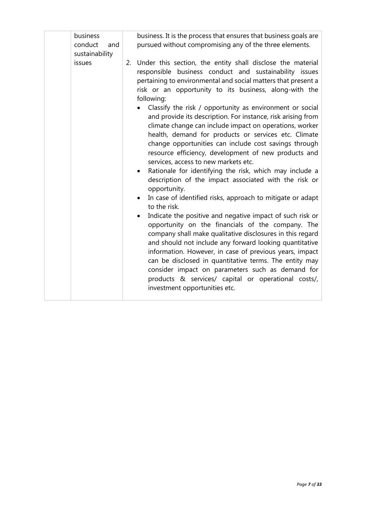| business<br>conduct<br>and<br>sustainability | business. It is the process that ensures that business goals are<br>pursued without compromising any of the three elements.                                                                                                                                                                                                                                                                                                                                                                                                                                                                                                                                                                                                                                                                                                                                                                                                                                                                                                                                                                                                                                                                                                                                                                                   |
|----------------------------------------------|---------------------------------------------------------------------------------------------------------------------------------------------------------------------------------------------------------------------------------------------------------------------------------------------------------------------------------------------------------------------------------------------------------------------------------------------------------------------------------------------------------------------------------------------------------------------------------------------------------------------------------------------------------------------------------------------------------------------------------------------------------------------------------------------------------------------------------------------------------------------------------------------------------------------------------------------------------------------------------------------------------------------------------------------------------------------------------------------------------------------------------------------------------------------------------------------------------------------------------------------------------------------------------------------------------------|
| issues                                       | 2. Under this section, the entity shall disclose the material<br>responsible business conduct and sustainability issues<br>pertaining to environmental and social matters that present a<br>risk or an opportunity to its business, along-with the<br>following:<br>Classify the risk / opportunity as environment or social<br>$\bullet$<br>and provide its description. For instance, risk arising from<br>climate change can include impact on operations, worker<br>health, demand for products or services etc. Climate<br>change opportunities can include cost savings through<br>resource efficiency, development of new products and<br>services, access to new markets etc.<br>Rationale for identifying the risk, which may include a<br>$\bullet$<br>description of the impact associated with the risk or<br>opportunity.<br>In case of identified risks, approach to mitigate or adapt<br>$\bullet$<br>to the risk.<br>Indicate the positive and negative impact of such risk or<br>$\bullet$<br>opportunity on the financials of the company. The<br>company shall make qualitative disclosures in this regard<br>and should not include any forward looking quantitative<br>information. However, in case of previous years, impact<br>can be disclosed in quantitative terms. The entity may |
|                                              | consider impact on parameters such as demand for<br>products & services/ capital or operational costs/,<br>investment opportunities etc.                                                                                                                                                                                                                                                                                                                                                                                                                                                                                                                                                                                                                                                                                                                                                                                                                                                                                                                                                                                                                                                                                                                                                                      |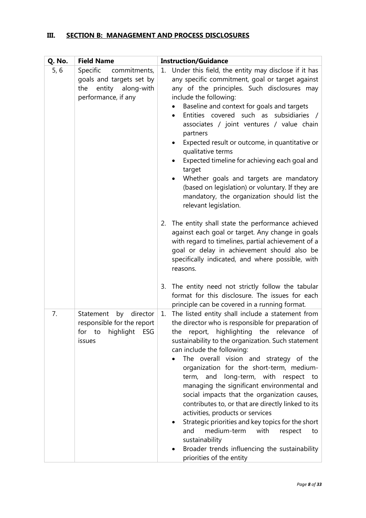### **III. SECTION B: MANAGEMENT AND PROCESS DISCLOSURES**

| Q. No. | <b>Field Name</b>                                                                           | <b>Instruction/Guidance</b>                                                                                                                                                                                                                                                                                                                                                                                                                                                                                                                                                                                                                                                                                                                                                  |
|--------|---------------------------------------------------------------------------------------------|------------------------------------------------------------------------------------------------------------------------------------------------------------------------------------------------------------------------------------------------------------------------------------------------------------------------------------------------------------------------------------------------------------------------------------------------------------------------------------------------------------------------------------------------------------------------------------------------------------------------------------------------------------------------------------------------------------------------------------------------------------------------------|
| 5, 6   | Specific<br>commitments,                                                                    | Under this field, the entity may disclose if it has<br>1.                                                                                                                                                                                                                                                                                                                                                                                                                                                                                                                                                                                                                                                                                                                    |
|        | goals and targets set by                                                                    | any specific commitment, goal or target against                                                                                                                                                                                                                                                                                                                                                                                                                                                                                                                                                                                                                                                                                                                              |
|        | the entity along-with                                                                       | any of the principles. Such disclosures may                                                                                                                                                                                                                                                                                                                                                                                                                                                                                                                                                                                                                                                                                                                                  |
|        | performance, if any                                                                         | include the following:<br>Baseline and context for goals and targets<br>Entities covered such as subsidiaries<br>associates / joint ventures / value chain<br>partners<br>Expected result or outcome, in quantitative or<br>qualitative terms<br>Expected timeline for achieving each goal and<br>target<br>Whether goals and targets are mandatory<br>(based on legislation) or voluntary. If they are<br>mandatory, the organization should list the<br>relevant legislation.                                                                                                                                                                                                                                                                                              |
|        |                                                                                             | The entity shall state the performance achieved<br>2.<br>against each goal or target. Any change in goals<br>with regard to timelines, partial achievement of a<br>goal or delay in achievement should also be<br>specifically indicated, and where possible, with<br>reasons.                                                                                                                                                                                                                                                                                                                                                                                                                                                                                               |
|        |                                                                                             | The entity need not strictly follow the tabular<br>3.<br>format for this disclosure. The issues for each<br>principle can be covered in a running format.                                                                                                                                                                                                                                                                                                                                                                                                                                                                                                                                                                                                                    |
| 7.     | Statement<br>director<br>by<br>responsible for the report<br>for to highlight ESG<br>issues | The listed entity shall include a statement from<br>1.<br>the director who is responsible for preparation of<br>the report, highlighting the relevance of<br>sustainability to the organization. Such statement<br>can include the following:<br>The overall vision and strategy of the<br>organization for the short-term, medium-<br>long-term, with respect<br>term, and<br>to<br>managing the significant environmental and<br>social impacts that the organization causes,<br>contributes to, or that are directly linked to its<br>activities, products or services<br>Strategic priorities and key topics for the short<br>medium-term<br>and<br>with<br>respect<br>to<br>sustainability<br>Broader trends influencing the sustainability<br>priorities of the entity |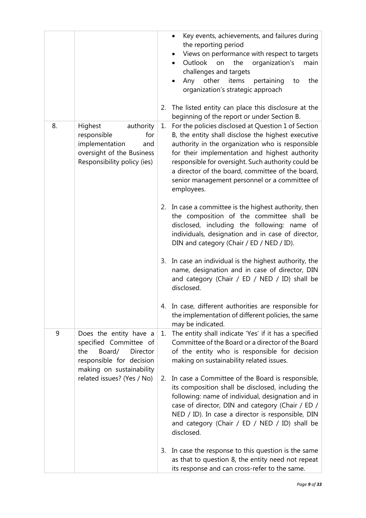|    |                                                                                                                                              | 2. | Key events, achievements, and failures during<br>the reporting period<br>Views on performance with respect to targets<br>Outlook on<br>organization's<br>the<br>main<br>challenges and targets<br>other<br>Any<br>items<br>the<br>pertaining<br>to<br>organization's strategic approach<br>The listed entity can place this disclosure at the<br>beginning of the report or under Section B. |
|----|----------------------------------------------------------------------------------------------------------------------------------------------|----|----------------------------------------------------------------------------------------------------------------------------------------------------------------------------------------------------------------------------------------------------------------------------------------------------------------------------------------------------------------------------------------------|
| 8. | Highest<br>authority<br>responsible<br>for<br>implementation<br>and<br>oversight of the Business<br>Responsibility policy (ies)              | 1. | For the policies disclosed at Question 1 of Section<br>B, the entity shall disclose the highest executive<br>authority in the organization who is responsible<br>for their implementation and highest authority<br>responsible for oversight. Such authority could be<br>a director of the board, committee of the board,<br>senior management personnel or a committee of<br>employees.     |
|    |                                                                                                                                              | 2. | In case a committee is the highest authority, then<br>the composition of the committee shall be<br>disclosed, including the following: name of<br>individuals, designation and in case of director,<br>DIN and category (Chair / ED / NED / ID).                                                                                                                                             |
|    |                                                                                                                                              | 3. | In case an individual is the highest authority, the<br>name, designation and in case of director, DIN<br>and category (Chair / ED / NED / ID) shall be<br>disclosed.                                                                                                                                                                                                                         |
|    |                                                                                                                                              |    | In case, different authorities are responsible for<br>the implementation of different policies, the same<br>may be indicated.                                                                                                                                                                                                                                                                |
| 9  | Does the entity have a<br>specified Committee of<br>Board/<br>the<br><b>Director</b><br>responsible for decision<br>making on sustainability | 1. | The entity shall indicate 'Yes' if it has a specified<br>Committee of the Board or a director of the Board<br>of the entity who is responsible for decision<br>making on sustainability related issues.                                                                                                                                                                                      |
|    | related issues? (Yes / No)                                                                                                                   | 2. | In case a Committee of the Board is responsible,<br>its composition shall be disclosed, including the<br>following: name of individual, designation and in<br>case of director, DIN and category (Chair / ED /<br>NED / ID). In case a director is responsible, DIN<br>and category (Chair / ED / NED / ID) shall be<br>disclosed.                                                           |
|    |                                                                                                                                              | 3. | In case the response to this question is the same<br>as that to question 8, the entity need not repeat<br>its response and can cross-refer to the same.                                                                                                                                                                                                                                      |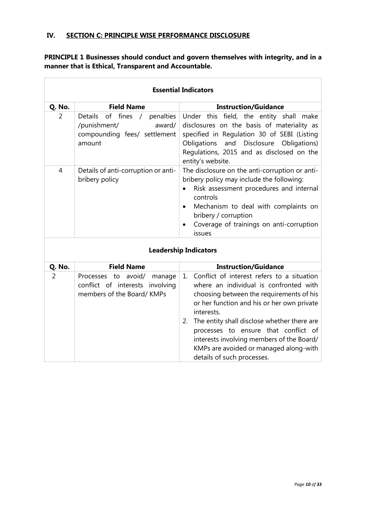### **IV. SECTION C: PRINCIPLE WISE PERFORMANCE DISCLOSURE**

 $\Box$ 

**PRINCIPLE 1 Businesses should conduct and govern themselves with integrity, and in a manner that is Ethical, Transparent and Accountable.**

|                |                                                                                                        | <b>Essential Indicators</b>                                                                                                                                                                                                                                                                                                                                                                                       |
|----------------|--------------------------------------------------------------------------------------------------------|-------------------------------------------------------------------------------------------------------------------------------------------------------------------------------------------------------------------------------------------------------------------------------------------------------------------------------------------------------------------------------------------------------------------|
| Q. No.         | <b>Field Name</b>                                                                                      | <b>Instruction/Guidance</b>                                                                                                                                                                                                                                                                                                                                                                                       |
| 2              | of fines<br>Details<br>/ penalties<br>/punishment/<br>award/<br>compounding fees/ settlement<br>amount | Under this field, the entity shall make<br>disclosures on the basis of materiality as<br>specified in Regulation 30 of SEBI (Listing<br>and<br>Disclosure Obligations)<br>Obligations<br>Regulations, 2015 and as disclosed on the<br>entity's website.                                                                                                                                                           |
| 4              | Details of anti-corruption or anti-<br>bribery policy                                                  | The disclosure on the anti-corruption or anti-<br>bribery policy may include the following:<br>Risk assessment procedures and internal<br>controls<br>Mechanism to deal with complaints on<br>$\bullet$<br>bribery / corruption<br>Coverage of trainings on anti-corruption<br>issues                                                                                                                             |
|                |                                                                                                        | <b>Leadership Indicators</b>                                                                                                                                                                                                                                                                                                                                                                                      |
| Q. No.         | <b>Field Name</b>                                                                                      | <b>Instruction/Guidance</b>                                                                                                                                                                                                                                                                                                                                                                                       |
| $\overline{2}$ | Processes to avoid/<br>manage<br>conflict of interests involving<br>members of the Board/KMPs          | 1. Conflict of interest refers to a situation<br>where an individual is confronted with<br>choosing between the requirements of his<br>or her function and his or her own private<br>interests.<br>The entity shall disclose whether there are<br>2.<br>processes to ensure that conflict of<br>interests involving members of the Board/<br>KMPs are avoided or managed along-with<br>details of such processes. |

ī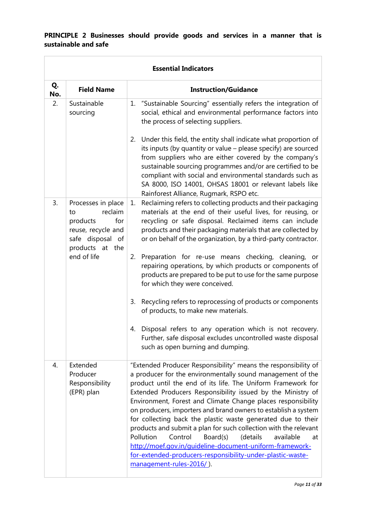#### **PRINCIPLE 2 Businesses should provide goods and services in a manner that is sustainable and safe**

 $\overline{a}$ 

|           | <b>Essential Indicators</b>                                                                                         |                                                                                                                                                                                                                                                                                                                                                                                                                                                                                                                                                                                                                                                                                                                                                            |  |  |
|-----------|---------------------------------------------------------------------------------------------------------------------|------------------------------------------------------------------------------------------------------------------------------------------------------------------------------------------------------------------------------------------------------------------------------------------------------------------------------------------------------------------------------------------------------------------------------------------------------------------------------------------------------------------------------------------------------------------------------------------------------------------------------------------------------------------------------------------------------------------------------------------------------------|--|--|
| Q.<br>No. | <b>Field Name</b>                                                                                                   | <b>Instruction/Guidance</b>                                                                                                                                                                                                                                                                                                                                                                                                                                                                                                                                                                                                                                                                                                                                |  |  |
| 2.        | Sustainable<br>sourcing                                                                                             | 1. "Sustainable Sourcing" essentially refers the integration of<br>social, ethical and environmental performance factors into<br>the process of selecting suppliers.                                                                                                                                                                                                                                                                                                                                                                                                                                                                                                                                                                                       |  |  |
|           |                                                                                                                     | Under this field, the entity shall indicate what proportion of<br>2.<br>its inputs (by quantity or value - please specify) are sourced<br>from suppliers who are either covered by the company's<br>sustainable sourcing programmes and/or are certified to be<br>compliant with social and environmental standards such as<br>SA 8000, ISO 14001, OHSAS 18001 or relevant labels like<br>Rainforest Alliance, Rugmark, RSPO etc.                                                                                                                                                                                                                                                                                                                          |  |  |
| 3.        | Processes in place<br>reclaim<br>to<br>for<br>products<br>reuse, recycle and<br>safe disposal of<br>products at the | Reclaiming refers to collecting products and their packaging<br>1.<br>materials at the end of their useful lives, for reusing, or<br>recycling or safe disposal. Reclaimed items can include<br>products and their packaging materials that are collected by<br>or on behalf of the organization, by a third-party contractor.                                                                                                                                                                                                                                                                                                                                                                                                                             |  |  |
|           | end of life                                                                                                         | 2.<br>Preparation for re-use means checking, cleaning, or<br>repairing operations, by which products or components of<br>products are prepared to be put to use for the same purpose<br>for which they were conceived.                                                                                                                                                                                                                                                                                                                                                                                                                                                                                                                                     |  |  |
|           |                                                                                                                     | Recycling refers to reprocessing of products or components<br>3.<br>of products, to make new materials.                                                                                                                                                                                                                                                                                                                                                                                                                                                                                                                                                                                                                                                    |  |  |
|           |                                                                                                                     | Disposal refers to any operation which is not recovery.<br>4.<br>Further, safe disposal excludes uncontrolled waste disposal<br>such as open burning and dumping.                                                                                                                                                                                                                                                                                                                                                                                                                                                                                                                                                                                          |  |  |
| 4.        | Extended<br>Producer<br>Responsibility<br>(EPR) plan                                                                | "Extended Producer Responsibility" means the responsibility of<br>a producer for the environmentally sound management of the<br>product until the end of its life. The Uniform Framework for<br>Extended Producers Responsibility issued by the Ministry of<br>Environment, Forest and Climate Change places responsibility<br>on producers, importers and brand owners to establish a system<br>for collecting back the plastic waste generated due to their<br>products and submit a plan for such collection with the relevant<br>Pollution<br>Control<br>Board(s)<br>(details<br>available<br>at<br>http://moef.gov.in/guideline-document-uniform-framework-<br>for-extended-producers-responsibility-under-plastic-waste-<br>management-rules-2016/). |  |  |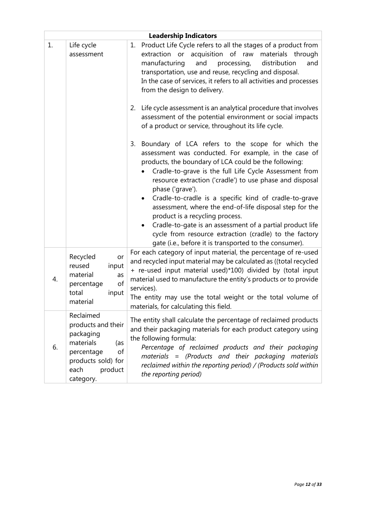|    | <b>Leadership Indicators</b>                                                                                                               |                                                                                                                                                                                                                                                                                                                                                                                                                                                                                                                                                                                                                                                              |  |  |  |
|----|--------------------------------------------------------------------------------------------------------------------------------------------|--------------------------------------------------------------------------------------------------------------------------------------------------------------------------------------------------------------------------------------------------------------------------------------------------------------------------------------------------------------------------------------------------------------------------------------------------------------------------------------------------------------------------------------------------------------------------------------------------------------------------------------------------------------|--|--|--|
| 1. | Life cycle<br>assessment                                                                                                                   | Product Life Cycle refers to all the stages of a product from<br>1.<br>extraction or acquisition of raw materials through<br>manufacturing<br>and<br>processing,<br>distribution<br>and<br>transportation, use and reuse, recycling and disposal.<br>In the case of services, it refers to all activities and processes<br>from the design to delivery.                                                                                                                                                                                                                                                                                                      |  |  |  |
|    |                                                                                                                                            | Life cycle assessment is an analytical procedure that involves<br>2.<br>assessment of the potential environment or social impacts<br>of a product or service, throughout its life cycle.                                                                                                                                                                                                                                                                                                                                                                                                                                                                     |  |  |  |
|    |                                                                                                                                            | Boundary of LCA refers to the scope for which the<br>3.<br>assessment was conducted. For example, in the case of<br>products, the boundary of LCA could be the following:<br>Cradle-to-grave is the full Life Cycle Assessment from<br>resource extraction ('cradle') to use phase and disposal<br>phase ('grave').<br>Cradle-to-cradle is a specific kind of cradle-to-grave<br>assessment, where the end-of-life disposal step for the<br>product is a recycling process.<br>Cradle-to-gate is an assessment of a partial product life<br>cycle from resource extraction (cradle) to the factory<br>gate (i.e., before it is transported to the consumer). |  |  |  |
| 4. | Recycled<br>or<br>reused<br>input<br>material<br>as<br>of<br>percentage<br>total<br>input<br>material                                      | For each category of input material, the percentage of re-used<br>and recycled input material may be calculated as ((total recycled<br>+ re-used input material used)*100) divided by (total input<br>material used to manufacture the entity's products or to provide<br>services).<br>The entity may use the total weight or the total volume of<br>materials, for calculating this field.                                                                                                                                                                                                                                                                 |  |  |  |
| 6. | Reclaimed<br>products and their<br>packaging<br>materials<br>(as<br>percentage<br>of<br>products sold) for<br>each<br>product<br>category. | The entity shall calculate the percentage of reclaimed products<br>and their packaging materials for each product category using<br>the following formula:<br>Percentage of reclaimed products and their packaging<br>materials = (Products and their packaging materials<br>reclaimed within the reporting period) / (Products sold within<br>the reporting period)                                                                                                                                                                                                                                                                                         |  |  |  |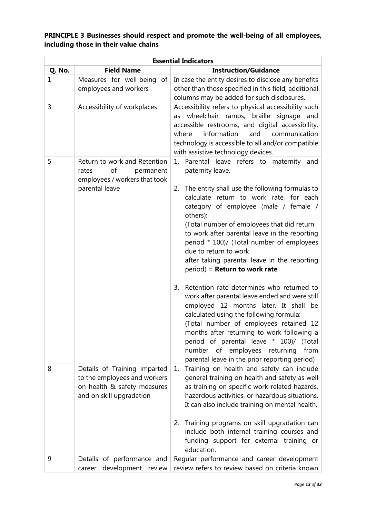### **PRINCIPLE 3 Businesses should respect and promote the well-being of all employees, including those in their value chains**

|        | <b>Essential Indicators</b>                                                                                             |                                                                                                                                                                                                                                                                                                                                                                                                                                                                                                                                                                                                                                                                                                                                                                                                                                                           |  |  |  |  |
|--------|-------------------------------------------------------------------------------------------------------------------------|-----------------------------------------------------------------------------------------------------------------------------------------------------------------------------------------------------------------------------------------------------------------------------------------------------------------------------------------------------------------------------------------------------------------------------------------------------------------------------------------------------------------------------------------------------------------------------------------------------------------------------------------------------------------------------------------------------------------------------------------------------------------------------------------------------------------------------------------------------------|--|--|--|--|
| Q. No. | <b>Field Name</b>                                                                                                       | <b>Instruction/Guidance</b>                                                                                                                                                                                                                                                                                                                                                                                                                                                                                                                                                                                                                                                                                                                                                                                                                               |  |  |  |  |
| 1      | Measures for well-being of<br>employees and workers                                                                     | In case the entity desires to disclose any benefits<br>other than those specified in this field, additional<br>columns may be added for such disclosures.                                                                                                                                                                                                                                                                                                                                                                                                                                                                                                                                                                                                                                                                                                 |  |  |  |  |
| 3      | Accessibility of workplaces                                                                                             | Accessibility refers to physical accessibility such<br>wheelchair ramps, braille signage<br>and<br>as<br>accessible restrooms, and digital accessibility,<br>information<br>communication<br>where<br>and<br>technology is accessible to all and/or compatible<br>with assistive technology devices.                                                                                                                                                                                                                                                                                                                                                                                                                                                                                                                                                      |  |  |  |  |
| 5      | Return to work and Retention<br>of<br>rates<br>permanent<br>employees / workers that took<br>parental leave             | Parental leave refers to maternity<br>1.<br>and<br>paternity leave.<br>The entity shall use the following formulas to<br>2.<br>calculate return to work rate, for each<br>category of employee (male / female /<br>others):<br>(Total number of employees that did return<br>to work after parental leave in the reporting<br>period * 100)/ (Total number of employees<br>due to return to work<br>after taking parental leave in the reporting<br>period) = Return to work rate<br>Retention rate determines who returned to<br>3.<br>work after parental leave ended and were still<br>employed 12 months later. It shall be<br>calculated using the following formula:<br>(Total number of employees retained 12<br>months after returning to work following a<br>period of parental leave * 100)/ (Total<br>number of employees<br>from<br>returning |  |  |  |  |
| 8      | Details of Training imparted<br>to the employees and workers<br>on health & safety measures<br>and on skill upgradation | parental leave in the prior reporting period)<br>Training on health and safety can include<br>1.<br>general training on health and safety as well<br>as training on specific work-related hazards,<br>hazardous activities, or hazardous situations.<br>It can also include training on mental health.<br>2. Training programs on skill upgradation can<br>include both internal training courses and<br>funding support for external training or                                                                                                                                                                                                                                                                                                                                                                                                         |  |  |  |  |
| 9      | Details of performance and<br>development review<br>career                                                              | education.<br>Regular performance and career development<br>review refers to review based on criteria known                                                                                                                                                                                                                                                                                                                                                                                                                                                                                                                                                                                                                                                                                                                                               |  |  |  |  |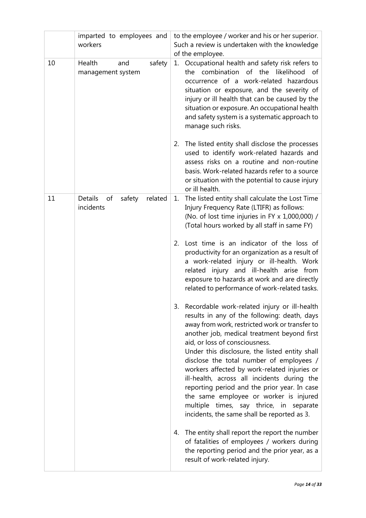|    | imparted to employees and<br>workers                   | to the employee / worker and his or her superior.<br>Such a review is undertaken with the knowledge<br>of the employee.                                                                                                                                                                                                                                                                                                                                                                                                                                                                                             |
|----|--------------------------------------------------------|---------------------------------------------------------------------------------------------------------------------------------------------------------------------------------------------------------------------------------------------------------------------------------------------------------------------------------------------------------------------------------------------------------------------------------------------------------------------------------------------------------------------------------------------------------------------------------------------------------------------|
| 10 | Health<br>safety<br>and<br>management system           | Occupational health and safety risk refers to<br>1.<br>the combination of the likelihood of<br>occurrence of a work-related hazardous<br>situation or exposure, and the severity of<br>injury or ill health that can be caused by the<br>situation or exposure. An occupational health<br>and safety system is a systematic approach to<br>manage such risks.<br>The listed entity shall disclose the processes<br>2.<br>used to identify work-related hazards and<br>assess risks on a routine and non-routine                                                                                                     |
|    |                                                        | basis. Work-related hazards refer to a source<br>or situation with the potential to cause injury<br>or ill health.                                                                                                                                                                                                                                                                                                                                                                                                                                                                                                  |
| 11 | <b>Details</b><br>related<br>of<br>safety<br>incidents | The listed entity shall calculate the Lost Time<br>1.<br>Injury Frequency Rate (LTIFR) as follows:<br>(No. of lost time injuries in FY x 1,000,000) /<br>(Total hours worked by all staff in same FY)                                                                                                                                                                                                                                                                                                                                                                                                               |
|    |                                                        | Lost time is an indicator of the loss of<br>2.<br>productivity for an organization as a result of<br>a work-related injury or ill-health. Work<br>related injury and ill-health arise from<br>exposure to hazards at work and are directly<br>related to performance of work-related tasks.                                                                                                                                                                                                                                                                                                                         |
|    |                                                        | 3. Recordable work-related injury or ill-health<br>results in any of the following: death, days<br>away from work, restricted work or transfer to<br>another job, medical treatment beyond first<br>aid, or loss of consciousness.<br>Under this disclosure, the listed entity shall<br>disclose the total number of employees /<br>workers affected by work-related injuries or<br>ill-health, across all incidents during the<br>reporting period and the prior year. In case<br>the same employee or worker is injured<br>multiple times, say thrice, in separate<br>incidents, the same shall be reported as 3. |
|    |                                                        | The entity shall report the report the number<br>4.<br>of fatalities of employees / workers during<br>the reporting period and the prior year, as a<br>result of work-related injury.                                                                                                                                                                                                                                                                                                                                                                                                                               |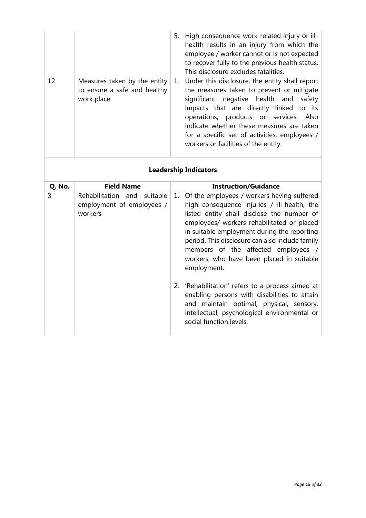| <b>Field Name</b>                                                          | <b>Instruction/Guidance</b>                                                                                                                                                                                                                                                                                                                                            |
|----------------------------------------------------------------------------|------------------------------------------------------------------------------------------------------------------------------------------------------------------------------------------------------------------------------------------------------------------------------------------------------------------------------------------------------------------------|
|                                                                            | <b>Leadership Indicators</b>                                                                                                                                                                                                                                                                                                                                           |
| Measures taken by the entity<br>to ensure a safe and healthy<br>work place | Under this disclosure, the entity shall report<br>1.<br>the measures taken to prevent or mitigate<br>significant negative health and safety<br>impacts that are directly linked to its<br>operations, products or services. Also<br>indicate whether these measures are taken<br>for a specific set of activities, employees /<br>workers or facilities of the entity. |
|                                                                            | High consequence work-related injury or ill-<br>5.<br>health results in an injury from which the<br>employee / worker cannot or is not expected<br>to recover fully to the previous health status.<br>This disclosure excludes fatalities.                                                                                                                             |
|                                                                            |                                                                                                                                                                                                                                                                                                                                                                        |

| 3 | Rehabilitation and suitable<br>employment of employees /<br>workers | 1. Of the employees / workers having suffered<br>high consequence injuries / ill-health, the<br>listed entity shall disclose the number of<br>employees/ workers rehabilitated or placed<br>in suitable employment during the reporting<br>period. This disclosure can also include family<br>members of the affected employees /<br>workers, who have been placed in suitable<br>employment. |
|---|---------------------------------------------------------------------|-----------------------------------------------------------------------------------------------------------------------------------------------------------------------------------------------------------------------------------------------------------------------------------------------------------------------------------------------------------------------------------------------|
|   |                                                                     | 2. 'Rehabilitation' refers to a process aimed at<br>enabling persons with disabilities to attain<br>and maintain optimal, physical, sensory,<br>intellectual, psychological environmental or<br>social function levels.                                                                                                                                                                       |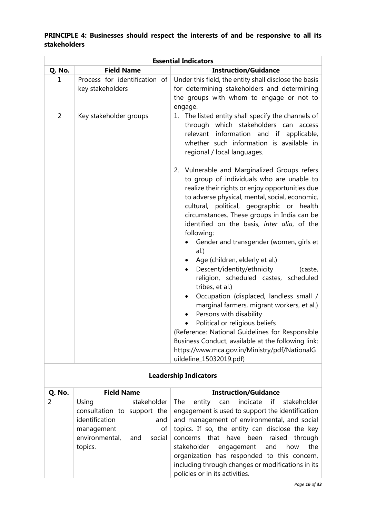# **PRINCIPLE 4: Businesses should respect the interests of and be responsive to all its stakeholders**

| <b>Essential Indicators</b> |                                                   |                                                                                                                                                                                                                                                                                                                                                                                                                                                                                                          |
|-----------------------------|---------------------------------------------------|----------------------------------------------------------------------------------------------------------------------------------------------------------------------------------------------------------------------------------------------------------------------------------------------------------------------------------------------------------------------------------------------------------------------------------------------------------------------------------------------------------|
| Q. No.                      | <b>Field Name</b>                                 | <b>Instruction/Guidance</b>                                                                                                                                                                                                                                                                                                                                                                                                                                                                              |
| 1                           | Process for identification of<br>key stakeholders | Under this field, the entity shall disclose the basis<br>for determining stakeholders and determining<br>the groups with whom to engage or not to<br>engage.                                                                                                                                                                                                                                                                                                                                             |
| $\overline{2}$              | Key stakeholder groups                            | 1. The listed entity shall specify the channels of<br>through which stakeholders can access<br>relevant<br>information and if applicable,<br>whether such information is available in<br>regional / local languages.                                                                                                                                                                                                                                                                                     |
|                             |                                                   | 2. Vulnerable and Marginalized Groups refers<br>to group of individuals who are unable to<br>realize their rights or enjoy opportunities due<br>to adverse physical, mental, social, economic,<br>cultural, political, geographic or health<br>circumstances. These groups in India can be<br>identified on the basis, inter alia, of the<br>following:<br>Gender and transgender (women, girls et<br>al.)                                                                                               |
|                             |                                                   | Age (children, elderly et al.)<br>Descent/identity/ethnicity<br>(caste,<br>$\bullet$<br>religion, scheduled castes, scheduled<br>tribes, et al.)<br>Occupation (displaced, landless small /<br>$\bullet$<br>marginal farmers, migrant workers, et al.)<br>Persons with disability<br>Political or religious beliefs<br>(Reference: National Guidelines for Responsible<br>Business Conduct, available at the following link:<br>https://www.mca.gov.in/Ministry/pdf/NationalG<br>uildeline_15032019.pdf) |

| <b>Leadership Indicators</b> |
|------------------------------|

| Q. No. | <b>Field Name</b> |             | <b>Instruction/Guidance</b>                                                  |
|--------|-------------------|-------------|------------------------------------------------------------------------------|
| 2      | Using             | stakeholder | The entity can indicate if stakeholder                                       |
|        |                   |             | consultation to support the engagement is used to support the identification |
|        | identification    | and         | and management of environmental, and social                                  |
|        | management        | οf          | topics. If so, the entity can disclose the key                               |
|        | environmental,    | and         | social concerns that have been raised through                                |
|        | topics.           |             | stakeholder engagement and<br>how<br>the                                     |
|        |                   |             | organization has responded to this concern,                                  |
|        |                   |             | including through changes or modifications in its                            |
|        |                   |             | policies or in its activities.                                               |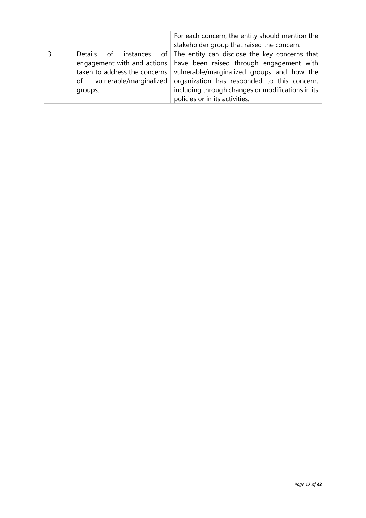|                                                                        | For each concern, the entity should mention the<br>stakeholder group that raised the concern.                                                                                                                                                                                                                                       |
|------------------------------------------------------------------------|-------------------------------------------------------------------------------------------------------------------------------------------------------------------------------------------------------------------------------------------------------------------------------------------------------------------------------------|
| taken to address the concerns<br>of vulnerable/marginalized<br>groups. | Details of instances of The entity can disclose the key concerns that<br>engagement with and actions   have been raised through engagement with<br>vulnerable/marginalized groups and how the<br>organization has responded to this concern,<br>including through changes or modifications in its<br>policies or in its activities. |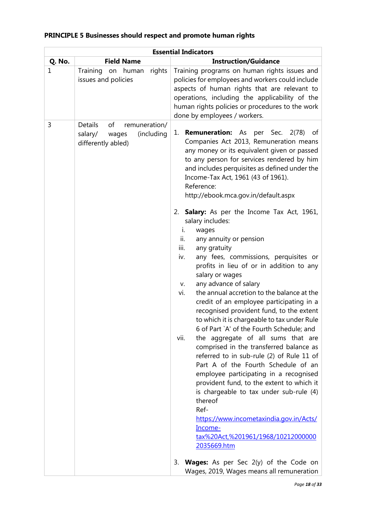|        | <b>Essential Indicators</b>                                                            |                                                                                                                                                                                                                                                                                                                                                                                                                                                                                                                                                                                                                                                                                                                                                                                                                                                                                                                                                                                                                                                                                                                                                                                                                                                                                                                                                                                 |  |
|--------|----------------------------------------------------------------------------------------|---------------------------------------------------------------------------------------------------------------------------------------------------------------------------------------------------------------------------------------------------------------------------------------------------------------------------------------------------------------------------------------------------------------------------------------------------------------------------------------------------------------------------------------------------------------------------------------------------------------------------------------------------------------------------------------------------------------------------------------------------------------------------------------------------------------------------------------------------------------------------------------------------------------------------------------------------------------------------------------------------------------------------------------------------------------------------------------------------------------------------------------------------------------------------------------------------------------------------------------------------------------------------------------------------------------------------------------------------------------------------------|--|
| Q. No. | <b>Field Name</b>                                                                      | <b>Instruction/Guidance</b>                                                                                                                                                                                                                                                                                                                                                                                                                                                                                                                                                                                                                                                                                                                                                                                                                                                                                                                                                                                                                                                                                                                                                                                                                                                                                                                                                     |  |
| 1      | Training<br>rights<br>human<br>on<br>issues and policies                               | Training programs on human rights issues and<br>policies for employees and workers could include<br>aspects of human rights that are relevant to<br>operations, including the applicability of the<br>human rights policies or procedures to the work<br>done by employees / workers.                                                                                                                                                                                                                                                                                                                                                                                                                                                                                                                                                                                                                                                                                                                                                                                                                                                                                                                                                                                                                                                                                           |  |
| 3      | Details<br>of<br>remuneration/<br>(including<br>salary/<br>wages<br>differently abled) | <b>Remuneration:</b> As per Sec. 2(78) of<br>1.<br>Companies Act 2013, Remuneration means<br>any money or its equivalent given or passed<br>to any person for services rendered by him<br>and includes perquisites as defined under the<br>Income-Tax Act, 1961 (43 of 1961).<br>Reference:<br>http://ebook.mca.gov.in/default.aspx<br>2. <b>Salary:</b> As per the Income Tax Act, 1961,<br>salary includes:<br>i.<br>wages<br>ii.<br>any annuity or pension<br>iii.<br>any gratuity<br>any fees, commissions, perquisites or<br>iv.<br>profits in lieu of or in addition to any<br>salary or wages<br>any advance of salary<br>V.<br>the annual accretion to the balance at the<br>vi.<br>credit of an employee participating in a<br>recognised provident fund, to the extent<br>to which it is chargeable to tax under Rule<br>6 of Part `A' of the Fourth Schedule; and<br>the aggregate of all sums that are<br>vii.<br>comprised in the transferred balance as<br>referred to in sub-rule (2) of Rule 11 of<br>Part A of the Fourth Schedule of an<br>employee participating in a recognised<br>provident fund, to the extent to which it<br>is chargeable to tax under sub-rule (4)<br>thereof<br>Ref-<br>https://www.incometaxindia.gov.in/Acts/<br>Income-<br>tax%20Act,%201961/1968/10212000000<br>2035669.htm<br><b>Wages:</b> As per Sec 2(y) of the Code on<br>3. |  |
|        |                                                                                        | Wages, 2019, Wages means all remuneration                                                                                                                                                                                                                                                                                                                                                                                                                                                                                                                                                                                                                                                                                                                                                                                                                                                                                                                                                                                                                                                                                                                                                                                                                                                                                                                                       |  |

# **PRINCIPLE 5 Businesses should respect and promote human rights**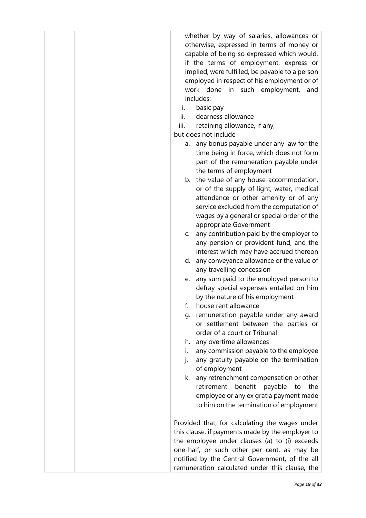whether by way of salaries, allowances or otherwise, expressed in terms of money or capable of being so expressed which would, if the terms of employment, express or implied, were fulfilled, be payable to a person employed in respect of his employment or of work done in such employment, and includes:

- i. basic pay
- ii. dearness allowance
- iii. retaining allowance, if any,

but does not include

- a. any bonus payable under any law for the time being in force, which does not form part of the remuneration payable under the terms of employment
- b. the value of any house-accommodation, or of the supply of light, water, medical attendance or other amenity or of any service excluded from the computation of wages by a general or special order of the appropriate Government
- c. any contribution paid by the employer to any pension or provident fund, and the interest which may have accrued thereon
- d. any conveyance allowance or the value of any travelling concession
- e. any sum paid to the employed person to defray special expenses entailed on him by the nature of his employment
- f. house rent allowance
- g. remuneration payable under any award or settlement between the parties or order of a court or Tribunal
- h. any overtime allowances
- i. any commission payable to the employee
- j. any gratuity payable on the termination of employment
- k. any retrenchment compensation or other retirement benefit payable to the employee or any ex gratia payment made to him on the termination of employment

Provided that, for calculating the wages under this clause, if payments made by the employer to the employee under clauses (a) to (i) exceeds one-half, or such other per cent. as may be notified by the Central Government, of the all remuneration calculated under this clause, the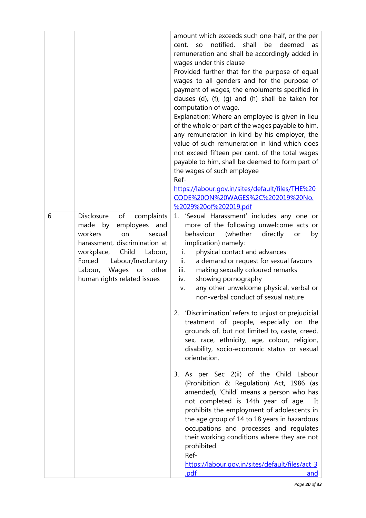|   |                                                                                                                                                                                                                                                             | amount which exceeds such one-half, or the per<br>notified, shall<br>be<br>deemed<br>SO<br>as<br>cent.<br>remuneration and shall be accordingly added in<br>wages under this clause<br>Provided further that for the purpose of equal<br>wages to all genders and for the purpose of<br>payment of wages, the emoluments specified in<br>clauses (d), (f), (g) and (h) shall be taken for<br>computation of wage.<br>Explanation: Where an employee is given in lieu<br>of the whole or part of the wages payable to him,<br>any remuneration in kind by his employer, the<br>value of such remuneration in kind which does<br>not exceed fifteen per cent. of the total wages<br>payable to him, shall be deemed to form part of<br>the wages of such employee<br>Ref-<br>https://labour.gov.in/sites/default/files/THE%20<br>CODE%20ON%20WAGES%2C%202019%20No.<br>%2029%20of%202019.pdf |
|---|-------------------------------------------------------------------------------------------------------------------------------------------------------------------------------------------------------------------------------------------------------------|-------------------------------------------------------------------------------------------------------------------------------------------------------------------------------------------------------------------------------------------------------------------------------------------------------------------------------------------------------------------------------------------------------------------------------------------------------------------------------------------------------------------------------------------------------------------------------------------------------------------------------------------------------------------------------------------------------------------------------------------------------------------------------------------------------------------------------------------------------------------------------------------|
| 6 | <b>Disclosure</b><br>of<br>complaints<br>made by<br>employees and<br>workers<br>on<br>sexual<br>harassment, discrimination at<br>workplace,<br>Child<br>Labour,<br>Forced<br>Labour/Involuntary<br>Labour, Wages<br>or other<br>human rights related issues | 'Sexual Harassment' includes any one or<br>1.<br>more of the following unwelcome acts or<br>(whether<br>behaviour<br>directly<br>by<br>or<br>implication) namely:<br>physical contact and advances<br>i.<br>ii.<br>a demand or request for sexual favours<br>iii.<br>making sexually coloured remarks<br>showing pornography<br>iv.<br>any other unwelcome physical, verbal or<br>v.<br>non-verbal conduct of sexual nature<br>2. 'Discrimination' refers to unjust or prejudicial<br>treatment of people, especially on the<br>grounds of, but not limited to, caste, creed,<br>sex, race, ethnicity, age, colour, religion,<br>disability, socio-economic status or sexual<br>orientation.                                                                                                                                                                                              |
|   |                                                                                                                                                                                                                                                             | 3. As per Sec 2(ii) of the Child Labour<br>(Prohibition & Regulation) Act, 1986 (as<br>amended), 'Child' means a person who has<br>not completed is 14th year of age. It<br>prohibits the employment of adolescents in<br>the age group of 14 to 18 years in hazardous<br>occupations and processes and regulates<br>their working conditions where they are not<br>prohibited.<br>Ref-<br>https://labour.gov.in/sites/default/files/act 3<br>.pdf<br>and                                                                                                                                                                                                                                                                                                                                                                                                                                 |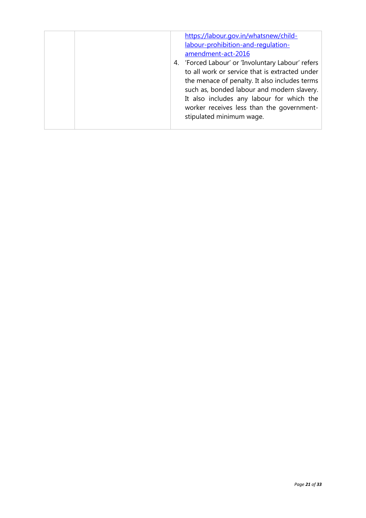|  |  | https://labour.gov.in/whatsnew/child-<br>labour-prohibition-and-requlation-<br>amendment-act-2016<br>4. 'Forced Labour' or 'Involuntary Labour' refers<br>to all work or service that is extracted under<br>the menace of penalty. It also includes terms<br>such as, bonded labour and modern slavery.<br>It also includes any labour for which the<br>worker receives less than the government-<br>stipulated minimum wage. |
|--|--|-------------------------------------------------------------------------------------------------------------------------------------------------------------------------------------------------------------------------------------------------------------------------------------------------------------------------------------------------------------------------------------------------------------------------------|
|--|--|-------------------------------------------------------------------------------------------------------------------------------------------------------------------------------------------------------------------------------------------------------------------------------------------------------------------------------------------------------------------------------------------------------------------------------|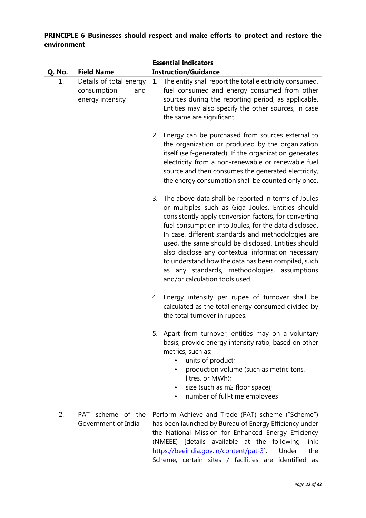# **PRINCIPLE 6 Businesses should respect and make efforts to protect and restore the environment**

| <b>Essential Indicators</b> |                                                                   |                                                                                                                                                                                                                                                                                                                                                                                                                                                                                                                                             |
|-----------------------------|-------------------------------------------------------------------|---------------------------------------------------------------------------------------------------------------------------------------------------------------------------------------------------------------------------------------------------------------------------------------------------------------------------------------------------------------------------------------------------------------------------------------------------------------------------------------------------------------------------------------------|
| Q. No.                      | <b>Field Name</b>                                                 | <b>Instruction/Guidance</b>                                                                                                                                                                                                                                                                                                                                                                                                                                                                                                                 |
| 1.                          | Details of total energy<br>consumption<br>and<br>energy intensity | The entity shall report the total electricity consumed,<br>1.<br>fuel consumed and energy consumed from other<br>sources during the reporting period, as applicable.<br>Entities may also specify the other sources, in case<br>the same are significant.                                                                                                                                                                                                                                                                                   |
|                             |                                                                   | Energy can be purchased from sources external to<br>2.<br>the organization or produced by the organization<br>itself (self-generated). If the organization generates<br>electricity from a non-renewable or renewable fuel<br>source and then consumes the generated electricity,<br>the energy consumption shall be counted only once.                                                                                                                                                                                                     |
|                             |                                                                   | The above data shall be reported in terms of Joules<br>3.<br>or multiples such as Giga Joules. Entities should<br>consistently apply conversion factors, for converting<br>fuel consumption into Joules, for the data disclosed.<br>In case, different standards and methodologies are<br>used, the same should be disclosed. Entities should<br>also disclose any contextual information necessary<br>to understand how the data has been compiled, such<br>as any standards, methodologies, assumptions<br>and/or calculation tools used. |
|                             |                                                                   | Energy intensity per rupee of turnover shall be<br>4.<br>calculated as the total energy consumed divided by<br>the total turnover in rupees.                                                                                                                                                                                                                                                                                                                                                                                                |
|                             |                                                                   | 5. Apart from turnover, entities may on a voluntary<br>basis, provide energy intensity ratio, based on other<br>metrics, such as:<br>units of product;<br>production volume (such as metric tons,<br>$\bullet$<br>litres, or MWh);<br>size (such as m2 floor space);<br>$\bullet$<br>number of full-time employees<br>٠                                                                                                                                                                                                                     |
| 2.                          | PAT scheme of the<br>Government of India                          | Perform Achieve and Trade (PAT) scheme ("Scheme")<br>has been launched by Bureau of Energy Efficiency under<br>the National Mission for Enhanced Energy Efficiency<br>(NMEEE) [details available at the following<br>link:<br>Under<br>https://beeindia.gov.in/content/pat-3].<br>the<br>Scheme, certain sites / facilities are identified<br>as                                                                                                                                                                                            |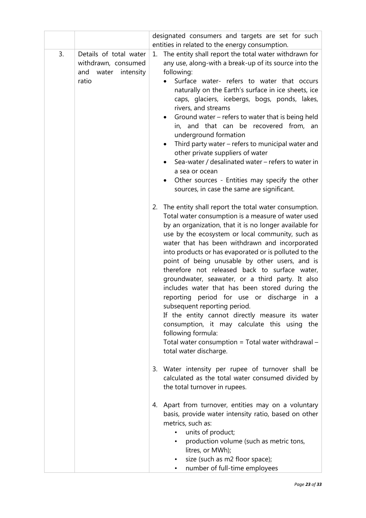|    |                                                                                  | designated consumers and targets are set for such                                                                                                                                                                                                                                                                                                                                                                                                                                                                                                                                                                                                                                                                                                                                                                                                                                                                                                                                                                                                                                                                                                                                                                                                                                                                                                                                                                                                                                                                                                                                                      |
|----|----------------------------------------------------------------------------------|--------------------------------------------------------------------------------------------------------------------------------------------------------------------------------------------------------------------------------------------------------------------------------------------------------------------------------------------------------------------------------------------------------------------------------------------------------------------------------------------------------------------------------------------------------------------------------------------------------------------------------------------------------------------------------------------------------------------------------------------------------------------------------------------------------------------------------------------------------------------------------------------------------------------------------------------------------------------------------------------------------------------------------------------------------------------------------------------------------------------------------------------------------------------------------------------------------------------------------------------------------------------------------------------------------------------------------------------------------------------------------------------------------------------------------------------------------------------------------------------------------------------------------------------------------------------------------------------------------|
| 3. | Details of total water<br>withdrawn, consumed<br>and<br>water intensity<br>ratio | entities in related to the energy consumption.<br>The entity shall report the total water withdrawn for<br>1.<br>any use, along-with a break-up of its source into the<br>following:<br>Surface water- refers to water that occurs<br>naturally on the Earth's surface in ice sheets, ice<br>caps, glaciers, icebergs, bogs, ponds, lakes,<br>rivers, and streams<br>Ground water – refers to water that is being held<br>in, and that can be recovered from, an<br>underground formation<br>Third party water - refers to municipal water and<br>other private suppliers of water<br>Sea-water / desalinated water - refers to water in<br>a sea or ocean<br>Other sources - Entities may specify the other<br>sources, in case the same are significant.<br>2. The entity shall report the total water consumption.<br>Total water consumption is a measure of water used<br>by an organization, that it is no longer available for<br>use by the ecosystem or local community, such as<br>water that has been withdrawn and incorporated<br>into products or has evaporated or is polluted to the<br>point of being unusable by other users, and is<br>therefore not released back to surface water,<br>groundwater, seawater, or a third party. It also<br>includes water that has been stored during the<br>reporting period for use or discharge in a<br>subsequent reporting period.<br>If the entity cannot directly measure its water<br>consumption, it may calculate this using the<br>following formula:<br>Total water consumption = Total water withdrawal $-$<br>total water discharge. |
|    |                                                                                  | Water intensity per rupee of turnover shall be<br>3.<br>calculated as the total water consumed divided by<br>the total turnover in rupees.                                                                                                                                                                                                                                                                                                                                                                                                                                                                                                                                                                                                                                                                                                                                                                                                                                                                                                                                                                                                                                                                                                                                                                                                                                                                                                                                                                                                                                                             |
|    |                                                                                  | Apart from turnover, entities may on a voluntary<br>4.<br>basis, provide water intensity ratio, based on other<br>metrics, such as:<br>units of product;<br>production volume (such as metric tons,<br>litres, or MWh);<br>size (such as m2 floor space);<br>number of full-time employees                                                                                                                                                                                                                                                                                                                                                                                                                                                                                                                                                                                                                                                                                                                                                                                                                                                                                                                                                                                                                                                                                                                                                                                                                                                                                                             |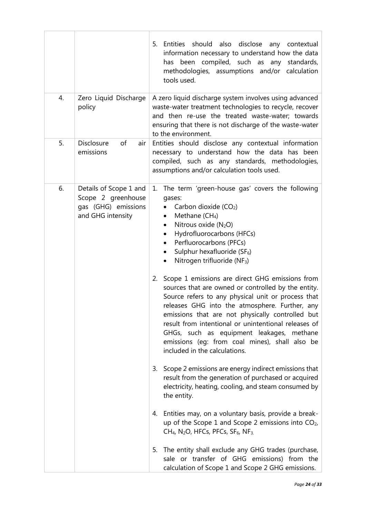|    |                                                                                          | 5. Entities should also disclose any contextual<br>information necessary to understand how the data<br>been compiled, such as any<br>standards,<br>has<br>methodologies, assumptions and/or calculation<br>tools used.                                                                                                                                                                                                                                                                                                                                                                                                                                                                                                                                                                                  |
|----|------------------------------------------------------------------------------------------|---------------------------------------------------------------------------------------------------------------------------------------------------------------------------------------------------------------------------------------------------------------------------------------------------------------------------------------------------------------------------------------------------------------------------------------------------------------------------------------------------------------------------------------------------------------------------------------------------------------------------------------------------------------------------------------------------------------------------------------------------------------------------------------------------------|
| 4. | Zero Liquid Discharge<br>policy                                                          | A zero liquid discharge system involves using advanced<br>waste-water treatment technologies to recycle, recover<br>and then re-use the treated waste-water; towards<br>ensuring that there is not discharge of the waste-water<br>to the environment.                                                                                                                                                                                                                                                                                                                                                                                                                                                                                                                                                  |
| 5. | Disclosure<br>of<br>air<br>emissions                                                     | Entities should disclose any contextual information<br>necessary to understand how the data has been<br>compiled, such as any standards, methodologies,<br>assumptions and/or calculation tools used.                                                                                                                                                                                                                                                                                                                                                                                                                                                                                                                                                                                                   |
| 6. | Details of Scope 1 and<br>Scope 2 greenhouse<br>gas (GHG) emissions<br>and GHG intensity | The term 'green-house gas' covers the following<br>1.<br>gases:<br>Carbon dioxide (CO <sub>2</sub> )<br>Methane (CH <sub>4</sub> )<br>٠<br>Nitrous oxide (N <sub>2</sub> O)<br>٠<br>Hydrofluorocarbons (HFCs)<br>Perfluorocarbons (PFCs)<br>Sulphur hexafluoride (SF <sub>6</sub> )<br>Nitrogen trifluoride (NF <sub>3</sub> )<br>٠<br>Scope 1 emissions are direct GHG emissions from<br>2.<br>sources that are owned or controlled by the entity.<br>Source refers to any physical unit or process that<br>releases GHG into the atmosphere. Further, any<br>emissions that are not physically controlled but<br>result from intentional or unintentional releases of<br>GHGs, such as equipment leakages, methane<br>emissions (eg: from coal mines), shall also be<br>included in the calculations. |
|    |                                                                                          | 3. Scope 2 emissions are energy indirect emissions that<br>result from the generation of purchased or acquired<br>electricity, heating, cooling, and steam consumed by<br>the entity.                                                                                                                                                                                                                                                                                                                                                                                                                                                                                                                                                                                                                   |
|    |                                                                                          | 4. Entities may, on a voluntary basis, provide a break-<br>up of the Scope 1 and Scope 2 emissions into $CO2$ ,<br>CH <sub>4</sub> , N <sub>2</sub> O, HFCs, PFCs, SF <sub>6</sub> , NF <sub>3.</sub>                                                                                                                                                                                                                                                                                                                                                                                                                                                                                                                                                                                                   |
|    |                                                                                          | 5. The entity shall exclude any GHG trades (purchase,<br>sale or transfer of GHG emissions) from the<br>calculation of Scope 1 and Scope 2 GHG emissions.                                                                                                                                                                                                                                                                                                                                                                                                                                                                                                                                                                                                                                               |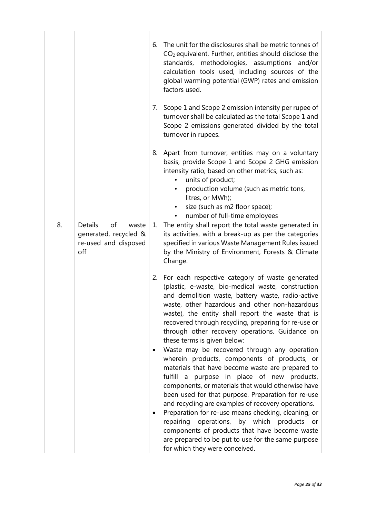|    |                                                                                       | 6. | The unit for the disclosures shall be metric tonnes of<br>$CO2$ equivalent. Further, entities should disclose the<br>standards, methodologies, assumptions<br>and/or<br>calculation tools used, including sources of the<br>global warming potential (GWP) rates and emission<br>factors used.                                                                                                                                                                                                                                                                                                                                                                                                                                                                                                                                                                                                                                              |
|----|---------------------------------------------------------------------------------------|----|---------------------------------------------------------------------------------------------------------------------------------------------------------------------------------------------------------------------------------------------------------------------------------------------------------------------------------------------------------------------------------------------------------------------------------------------------------------------------------------------------------------------------------------------------------------------------------------------------------------------------------------------------------------------------------------------------------------------------------------------------------------------------------------------------------------------------------------------------------------------------------------------------------------------------------------------|
|    |                                                                                       |    | 7. Scope 1 and Scope 2 emission intensity per rupee of<br>turnover shall be calculated as the total Scope 1 and<br>Scope 2 emissions generated divided by the total<br>turnover in rupees.                                                                                                                                                                                                                                                                                                                                                                                                                                                                                                                                                                                                                                                                                                                                                  |
|    |                                                                                       | 8. | Apart from turnover, entities may on a voluntary<br>basis, provide Scope 1 and Scope 2 GHG emission<br>intensity ratio, based on other metrics, such as:<br>units of product;<br>$\bullet$<br>production volume (such as metric tons,<br>$\bullet$<br>litres, or MWh);<br>size (such as m2 floor space);<br>٠<br>number of full-time employees<br>$\bullet$                                                                                                                                                                                                                                                                                                                                                                                                                                                                                                                                                                                 |
| 8. | <b>Details</b><br>of<br>waste<br>generated, recycled &<br>re-used and disposed<br>off | 1. | The entity shall report the total waste generated in<br>its activities, with a break-up as per the categories<br>specified in various Waste Management Rules issued<br>by the Ministry of Environment, Forests & Climate<br>Change.                                                                                                                                                                                                                                                                                                                                                                                                                                                                                                                                                                                                                                                                                                         |
|    |                                                                                       |    | 2. For each respective category of waste generated<br>(plastic, e-waste, bio-medical waste, construction<br>and demolition waste, battery waste, radio-active<br>waste, other hazardous and other non-hazardous<br>waste), the entity shall report the waste that is<br>recovered through recycling, preparing for re-use or<br>through other recovery operations. Guidance on<br>these terms is given below:<br>Waste may be recovered through any operation<br>wherein products, components of products, or<br>materials that have become waste are prepared to<br>fulfill<br>a purpose in place of new products,<br>components, or materials that would otherwise have<br>been used for that purpose. Preparation for re-use<br>and recycling are examples of recovery operations.<br>Preparation for re-use means checking, cleaning, or<br>repairing operations, by which products or<br>components of products that have become waste |
|    |                                                                                       |    | are prepared to be put to use for the same purpose<br>for which they were conceived.                                                                                                                                                                                                                                                                                                                                                                                                                                                                                                                                                                                                                                                                                                                                                                                                                                                        |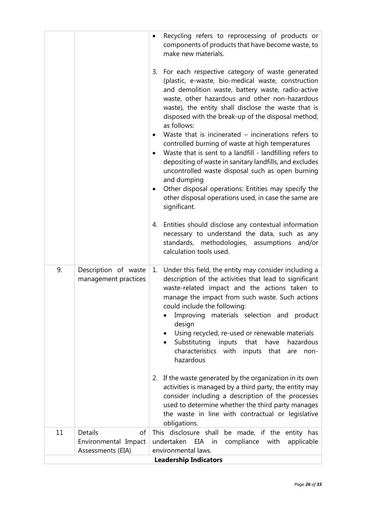|                              |                                              | Recycling refers to reprocessing of products or<br>$\bullet$<br>components of products that have become waste, to<br>make new materials.<br>3. For each respective category of waste generated<br>(plastic, e-waste, bio-medical waste, construction<br>and demolition waste, battery waste, radio-active<br>waste, other hazardous and other non-hazardous<br>waste), the entity shall disclose the waste that is<br>disposed with the break-up of the disposal method,<br>as follows:<br>Waste that is incinerated $-$ incinerations refers to<br>٠<br>controlled burning of waste at high temperatures<br>Waste that is sent to a landfill - landfilling refers to<br>٠<br>depositing of waste in sanitary landfills, and excludes<br>uncontrolled waste disposal such as open burning<br>and dumping<br>Other disposal operations: Entities may specify the<br>٠<br>other disposal operations used, in case the same are<br>significant.<br>4. Entities should disclose any contextual information<br>necessary to understand the data, such as any<br>standards, methodologies, assumptions and/or<br>calculation tools used. |  |
|------------------------------|----------------------------------------------|------------------------------------------------------------------------------------------------------------------------------------------------------------------------------------------------------------------------------------------------------------------------------------------------------------------------------------------------------------------------------------------------------------------------------------------------------------------------------------------------------------------------------------------------------------------------------------------------------------------------------------------------------------------------------------------------------------------------------------------------------------------------------------------------------------------------------------------------------------------------------------------------------------------------------------------------------------------------------------------------------------------------------------------------------------------------------------------------------------------------------------|--|
| 9.                           | Description of waste<br>management practices | Under this field, the entity may consider including a<br>1.<br>description of the activities that lead to significant<br>waste-related impact and the actions taken to<br>manage the impact from such waste. Such actions<br>could include the following:<br>Improving materials selection and product<br>design<br>Using recycled, re-used or renewable materials<br>٠<br>Substituting inputs<br>that<br>have<br>hazardous<br>$\bullet$<br>characteristics with<br>inputs that<br>are<br>non-<br>hazardous<br>2. If the waste generated by the organization in its own<br>activities is managed by a third party, the entity may<br>consider including a description of the processes<br>used to determine whether the third party manages<br>the waste in line with contractual or legislative<br>obligations.                                                                                                                                                                                                                                                                                                                   |  |
| 11                           | of<br>Details                                | This disclosure shall<br>be made, if the entity has                                                                                                                                                                                                                                                                                                                                                                                                                                                                                                                                                                                                                                                                                                                                                                                                                                                                                                                                                                                                                                                                                |  |
|                              | Environmental Impact                         | undertaken<br>compliance with<br>EIA<br>in<br>applicable                                                                                                                                                                                                                                                                                                                                                                                                                                                                                                                                                                                                                                                                                                                                                                                                                                                                                                                                                                                                                                                                           |  |
|                              | Assessments (EIA)                            | environmental laws.                                                                                                                                                                                                                                                                                                                                                                                                                                                                                                                                                                                                                                                                                                                                                                                                                                                                                                                                                                                                                                                                                                                |  |
| <b>Leadership Indicators</b> |                                              |                                                                                                                                                                                                                                                                                                                                                                                                                                                                                                                                                                                                                                                                                                                                                                                                                                                                                                                                                                                                                                                                                                                                    |  |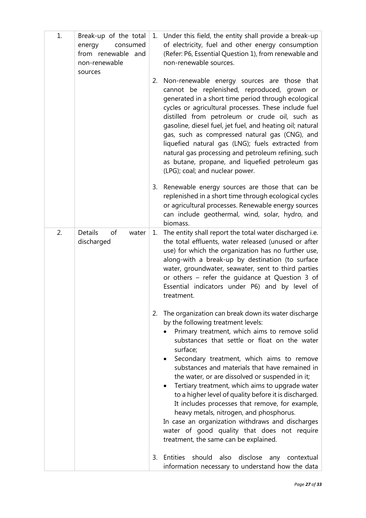| 1. | Break-up of the total<br>energy<br>consumed<br>from renewable and<br>non-renewable<br>sources | 1. | Under this field, the entity shall provide a break-up<br>of electricity, fuel and other energy consumption<br>(Refer: P6, Essential Question 1), from renewable and<br>non-renewable sources.                                                                                                                                                                                                                                                                                                                                                                                                                                                                                                                               |
|----|-----------------------------------------------------------------------------------------------|----|-----------------------------------------------------------------------------------------------------------------------------------------------------------------------------------------------------------------------------------------------------------------------------------------------------------------------------------------------------------------------------------------------------------------------------------------------------------------------------------------------------------------------------------------------------------------------------------------------------------------------------------------------------------------------------------------------------------------------------|
|    |                                                                                               | 2. | Non-renewable energy sources are those that<br>cannot be replenished, reproduced, grown or<br>generated in a short time period through ecological<br>cycles or agricultural processes. These include fuel<br>distilled from petroleum or crude oil, such as<br>gasoline, diesel fuel, jet fuel, and heating oil; natural<br>gas, such as compressed natural gas (CNG), and<br>liquefied natural gas (LNG); fuels extracted from<br>natural gas processing and petroleum refining, such<br>as butane, propane, and liquefied petroleum gas<br>(LPG); coal; and nuclear power.                                                                                                                                                |
|    |                                                                                               | 3. | Renewable energy sources are those that can be<br>replenished in a short time through ecological cycles<br>or agricultural processes. Renewable energy sources<br>can include geothermal, wind, solar, hydro, and<br>biomass.                                                                                                                                                                                                                                                                                                                                                                                                                                                                                               |
| 2. | <b>Details</b><br>of<br>water<br>discharged                                                   | 1. | The entity shall report the total water discharged i.e.<br>the total effluents, water released (unused or after<br>use) for which the organization has no further use,<br>along-with a break-up by destination (to surface<br>water, groundwater, seawater, sent to third parties<br>or others - refer the guidance at Question 3 of<br>Essential indicators under P6) and by level of<br>treatment.                                                                                                                                                                                                                                                                                                                        |
|    |                                                                                               | 2. | The organization can break down its water discharge<br>by the following treatment levels:<br>Primary treatment, which aims to remove solid<br>substances that settle or float on the water<br>surface;<br>Secondary treatment, which aims to remove<br>substances and materials that have remained in<br>the water, or are dissolved or suspended in it;<br>Tertiary treatment, which aims to upgrade water<br>$\bullet$<br>to a higher level of quality before it is discharged.<br>It includes processes that remove, for example,<br>heavy metals, nitrogen, and phosphorus.<br>In case an organization withdraws and discharges<br>water of good quality that does not require<br>treatment, the same can be explained. |
|    |                                                                                               | 3. | Entities should also disclose<br>any contextual<br>information necessary to understand how the data                                                                                                                                                                                                                                                                                                                                                                                                                                                                                                                                                                                                                         |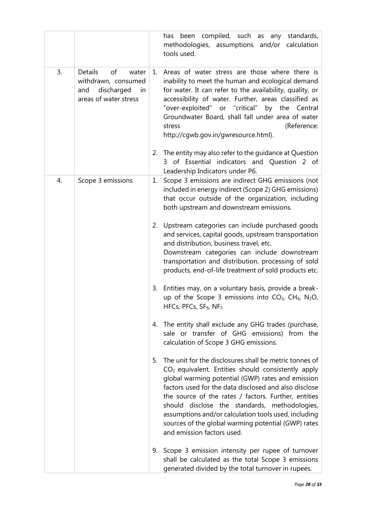|    |                                                                                                   |    | has been compiled, such as any<br>standards,<br>methodologies, assumptions and/or calculation<br>tools used.                                                                                                                                                                                                                                                                                                                                                                       |
|----|---------------------------------------------------------------------------------------------------|----|------------------------------------------------------------------------------------------------------------------------------------------------------------------------------------------------------------------------------------------------------------------------------------------------------------------------------------------------------------------------------------------------------------------------------------------------------------------------------------|
| 3. | Details<br>of<br>water<br>withdrawn, consumed<br>discharged<br>and<br>in<br>areas of water stress | 1. | Areas of water stress are those where there is<br>inability to meet the human and ecological demand<br>for water. It can refer to the availability, quality, or<br>accessibility of water. Further, areas classified as<br>"over-exploited" or "critical" by the Central<br>Groundwater Board, shall fall under area of water<br>(Reference:<br>stress<br>http://cgwb.gov.in/gwresource.html).                                                                                     |
|    |                                                                                                   | 2. | The entity may also refer to the guidance at Question<br>of Essential indicators and Question 2 of<br>3<br>Leadership Indicators under P6.                                                                                                                                                                                                                                                                                                                                         |
| 4. | Scope 3 emissions                                                                                 | 1. | Scope 3 emissions are indirect GHG emissions (not<br>included in energy indirect (Scope 2) GHG emissions)<br>that occur outside of the organization, including<br>both upstream and downstream emissions.                                                                                                                                                                                                                                                                          |
|    |                                                                                                   | 2. | Upstream categories can include purchased goods<br>and services, capital goods, upstream transportation<br>and distribution, business travel, etc.<br>Downstream categories can include downstream<br>transportation and distribution, processing of sold<br>products, end-of-life treatment of sold products etc.                                                                                                                                                                 |
|    |                                                                                                   | 3. | Entities may, on a voluntary basis, provide a break-<br>up of the Scope 3 emissions into $CO2$ , CH <sub>4</sub> , N <sub>2</sub> O,<br>HFCs, PFCs, SF <sub>6</sub> , NF <sub>3.</sub>                                                                                                                                                                                                                                                                                             |
|    |                                                                                                   | 4. | The entity shall exclude any GHG trades (purchase,<br>sale or transfer of GHG emissions) from the<br>calculation of Scope 3 GHG emissions.                                                                                                                                                                                                                                                                                                                                         |
|    |                                                                                                   | 5. | The unit for the disclosures shall be metric tonnes of<br>$CO2$ equivalent. Entities should consistently apply<br>global warming potential (GWP) rates and emission<br>factors used for the data disclosed and also disclose<br>the source of the rates / factors. Further, entities<br>should disclose the standards, methodologies,<br>assumptions and/or calculation tools used, including<br>sources of the global warming potential (GWP) rates<br>and emission factors used. |
|    |                                                                                                   | 9. | Scope 3 emission intensity per rupee of turnover<br>shall be calculated as the total Scope 3 emissions<br>generated divided by the total turnover in rupees.                                                                                                                                                                                                                                                                                                                       |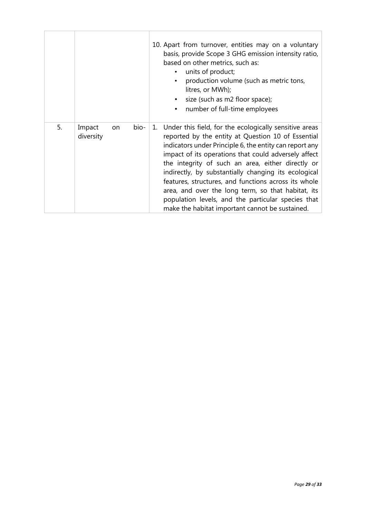|    |                                   | 10. Apart from turnover, entities may on a voluntary<br>basis, provide Scope 3 GHG emission intensity ratio,<br>based on other metrics, such as:<br>units of product;<br>$\bullet$<br>production volume (such as metric tons,<br>litres, or MWh);<br>size (such as m2 floor space);<br>number of full-time employees<br>$\bullet$                                                                                                                                                                                                                                      |
|----|-----------------------------------|------------------------------------------------------------------------------------------------------------------------------------------------------------------------------------------------------------------------------------------------------------------------------------------------------------------------------------------------------------------------------------------------------------------------------------------------------------------------------------------------------------------------------------------------------------------------|
| 5. | Impact<br>bio-<br>on<br>diversity | 1. Under this field, for the ecologically sensitive areas<br>reported by the entity at Question 10 of Essential<br>indicators under Principle 6, the entity can report any<br>impact of its operations that could adversely affect<br>the integrity of such an area, either directly or<br>indirectly, by substantially changing its ecological<br>features, structures, and functions across its whole<br>area, and over the long term, so that habitat, its<br>population levels, and the particular species that<br>make the habitat important cannot be sustained. |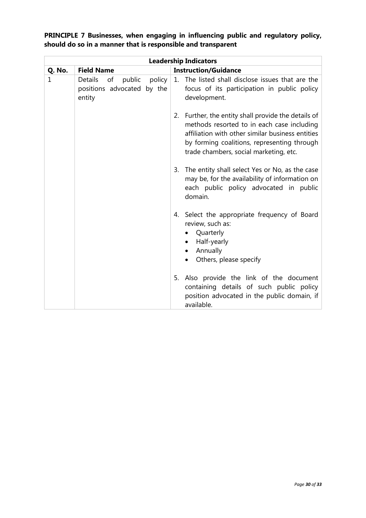|        |                                                                           | <b>Leadership Indicators</b>                                                                                                                                                                                                                      |
|--------|---------------------------------------------------------------------------|---------------------------------------------------------------------------------------------------------------------------------------------------------------------------------------------------------------------------------------------------|
| Q. No. | <b>Field Name</b>                                                         | <b>Instruction/Guidance</b>                                                                                                                                                                                                                       |
| 1      | public<br>policy<br>Details<br>of<br>positions advocated by the<br>entity | 1. The listed shall disclose issues that are the<br>focus of its participation in public policy<br>development.                                                                                                                                   |
|        |                                                                           | Further, the entity shall provide the details of<br>2.<br>methods resorted to in each case including<br>affiliation with other similar business entities<br>by forming coalitions, representing through<br>trade chambers, social marketing, etc. |
|        |                                                                           | 3. The entity shall select Yes or No, as the case<br>may be, for the availability of information on<br>each public policy advocated in public<br>domain.                                                                                          |
|        |                                                                           | 4. Select the appropriate frequency of Board<br>review, such as:<br>Quarterly<br>$\bullet$<br>Half-yearly<br>Annually<br>Others, please specify                                                                                                   |
|        |                                                                           | 5. Also provide the link of the document<br>containing details of such public policy<br>position advocated in the public domain, if<br>available.                                                                                                 |

**PRINCIPLE 7 Businesses, when engaging in influencing public and regulatory policy, should do so in a manner that is responsible and transparent**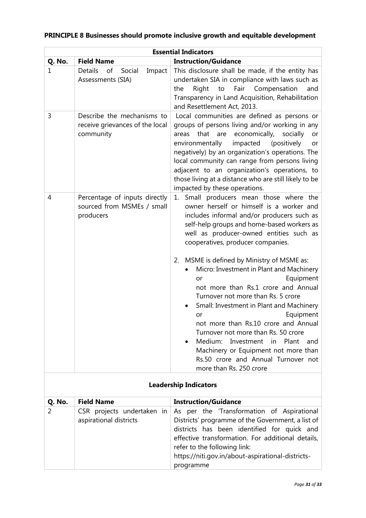|        |                                                                            | <b>Essential Indicators</b>                                                                                                                                                                                                                                                                                                                                                                                                                                                                                                                                                                                                                                                                                                                                            |
|--------|----------------------------------------------------------------------------|------------------------------------------------------------------------------------------------------------------------------------------------------------------------------------------------------------------------------------------------------------------------------------------------------------------------------------------------------------------------------------------------------------------------------------------------------------------------------------------------------------------------------------------------------------------------------------------------------------------------------------------------------------------------------------------------------------------------------------------------------------------------|
| Q. No. | <b>Field Name</b>                                                          | <b>Instruction/Guidance</b>                                                                                                                                                                                                                                                                                                                                                                                                                                                                                                                                                                                                                                                                                                                                            |
| 1      | <b>Details</b><br>of<br>Social<br>Impact<br>Assessments (SIA)              | This disclosure shall be made, if the entity has<br>undertaken SIA in compliance with laws such as<br>Right<br>Fair Compensation<br>the<br>to<br>and<br>Transparency in Land Acquisition, Rehabilitation<br>and Resettlement Act, 2013.                                                                                                                                                                                                                                                                                                                                                                                                                                                                                                                                |
| 3      | Describe the mechanisms to<br>receive grievances of the local<br>community | Local communities are defined as persons or<br>groups of persons living and/or working in any<br>that<br>economically,<br>are<br>socially<br>areas<br>or<br>environmentally<br>impacted<br>(positively<br>or<br>negatively) by an organization's operations. The<br>local community can range from persons living<br>adjacent to an organization's operations, to<br>those living at a distance who are still likely to be<br>impacted by these operations.                                                                                                                                                                                                                                                                                                            |
| 4      | Percentage of inputs directly<br>sourced from MSMEs / small<br>producers   | Small producers mean those where the<br>1.<br>owner herself or himself is a worker and<br>includes informal and/or producers such as<br>self-help groups and home-based workers as<br>well as producer-owned entities such as<br>cooperatives, producer companies.<br>MSME is defined by Ministry of MSME as:<br>2.<br>Micro: Investment in Plant and Machinery<br>Equipment<br>or<br>not more than Rs.1 crore and Annual<br>Turnover not more than Rs. 5 crore<br>Small: Investment in Plant and Machinery<br>Equipment<br>or<br>not more than Rs.10 crore and Annual<br>Turnover not more than Rs. 50 crore<br>Medium:<br>Investment<br>Plant<br>in<br>and<br>Machinery or Equipment not more than<br>Rs.50 crore and Annual Turnover not<br>more than Rs. 250 crore |

# **PRINCIPLE 8 Businesses should promote inclusive growth and equitable development**

| <b>Leadership Indicators</b> |                                                      |                                                                                                                                                                                                                                                                                                       |  |
|------------------------------|------------------------------------------------------|-------------------------------------------------------------------------------------------------------------------------------------------------------------------------------------------------------------------------------------------------------------------------------------------------------|--|
| Q. No.                       | <b>Field Name</b>                                    | <b>Instruction/Guidance</b>                                                                                                                                                                                                                                                                           |  |
|                              | CSR projects undertaken in<br>aspirational districts | As per the 'Transformation of Aspirational<br>Districts' programme of the Government, a list of<br>districts has been identified for quick and<br>effective transformation. For additional details,<br>refer to the following link:<br>https://niti.gov.in/about-aspirational-districts-<br>programme |  |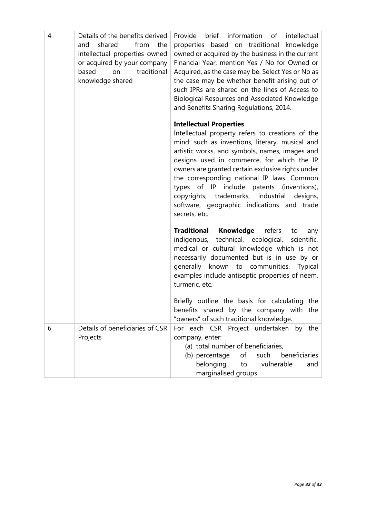| 4 | Details of the benefits derived<br>from<br>shared<br>the<br>and<br>intellectual properties owned<br>or acquired by your company<br>traditional<br>based<br>on<br>knowledge shared | brief information of<br>Provide<br>intellectual<br>properties based on traditional<br>knowledge<br>owned or acquired by the business in the current<br>Financial Year, mention Yes / No for Owned or<br>Acquired, as the case may be. Select Yes or No as<br>the case may be whether benefit arising out of<br>such IPRs are shared on the lines of Access to<br>Biological Resources and Associated Knowledge<br>and Benefits Sharing Regulations, 2014.                                                 |
|---|-----------------------------------------------------------------------------------------------------------------------------------------------------------------------------------|-----------------------------------------------------------------------------------------------------------------------------------------------------------------------------------------------------------------------------------------------------------------------------------------------------------------------------------------------------------------------------------------------------------------------------------------------------------------------------------------------------------|
|   |                                                                                                                                                                                   | <b>Intellectual Properties</b><br>Intellectual property refers to creations of the<br>mind: such as inventions, literary, musical and<br>artistic works, and symbols, names, images and<br>designs used in commerce, for which the IP<br>owners are granted certain exclusive rights under<br>the corresponding national IP laws. Common<br>types of IP include patents (inventions),<br>copyrights, trademarks,<br>industrial<br>designs,<br>software, geographic indications and trade<br>secrets, etc. |
|   |                                                                                                                                                                                   | <b>Knowledge</b><br>refers<br><b>Traditional</b><br>to<br>any<br>technical, ecological,<br>scientific,<br>indigenous,<br>medical or cultural knowledge which is not<br>necessarily documented but is in use by or<br>generally known to communities. Typical<br>examples include antiseptic properties of neem,<br>turmeric, etc.<br>Briefly outline the basis for calculating the                                                                                                                        |
|   |                                                                                                                                                                                   | benefits shared by the company with the<br>"owners" of such traditional knowledge.                                                                                                                                                                                                                                                                                                                                                                                                                        |
| 6 | Details of beneficiaries of CSR<br>Projects                                                                                                                                       | For each CSR Project undertaken<br>by the<br>company, enter:<br>(a) total number of beneficiaries,<br>(b) percentage<br>of<br>such<br>beneficiaries<br>belonging<br>vulnerable<br>to<br>and<br>marginalised groups                                                                                                                                                                                                                                                                                        |